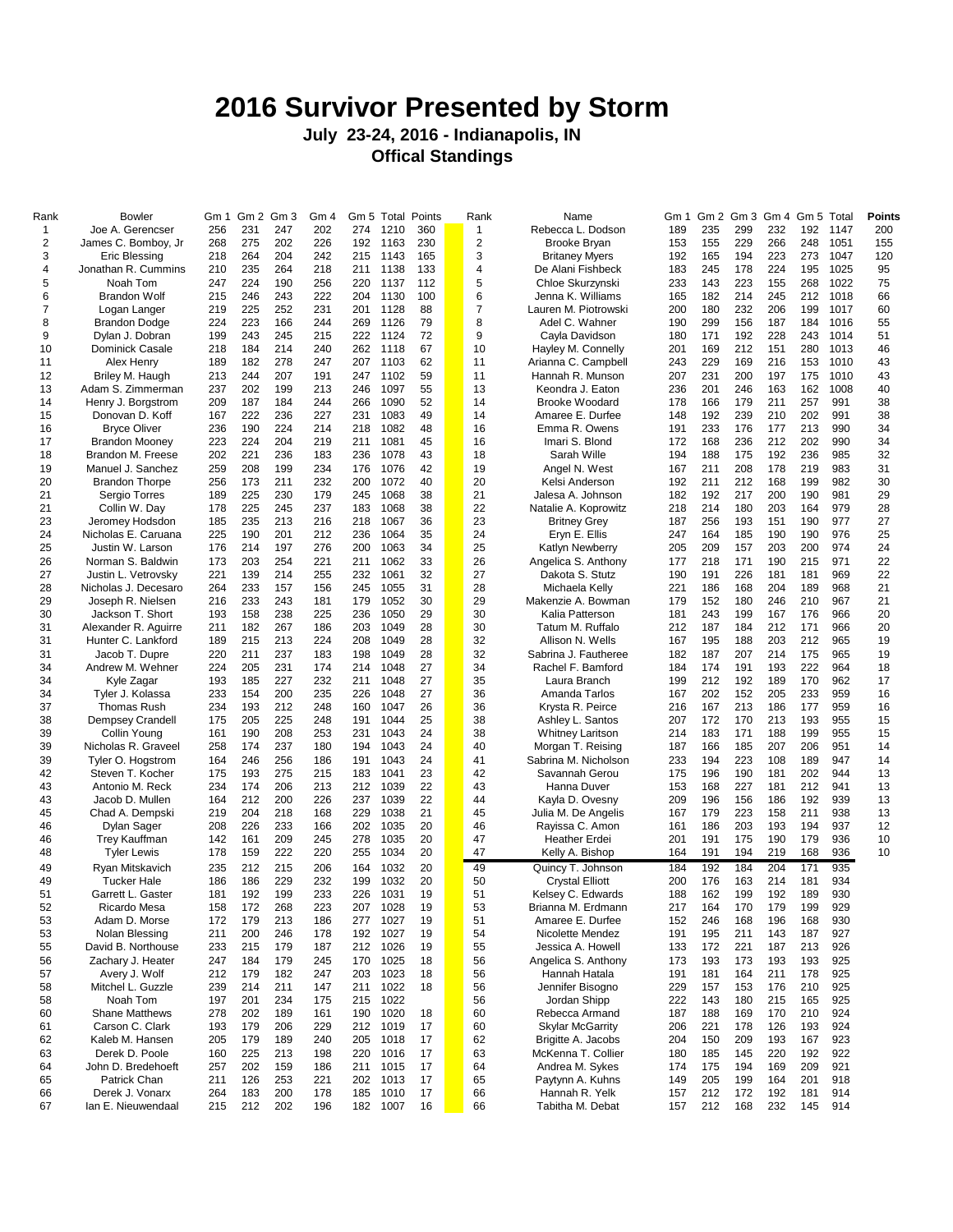## **2016 Survivor Presented by Storm**

## **July 23-24, 2016 - Indianapolis, IN Offical Standings**

| Rank         | <b>Bowler</b>         | Gm 1 | Gm <sub>2</sub> | Gm <sub>3</sub> | Gm 4 |     |          | Gm 5 Total Points | Rank           | Name                    | Gm 1 | Gm2 | Gm <sub>3</sub> | Gm 4 | Gm 5 | Total | Points |
|--------------|-----------------------|------|-----------------|-----------------|------|-----|----------|-------------------|----------------|-------------------------|------|-----|-----------------|------|------|-------|--------|
| $\mathbf{1}$ | Joe A. Gerencser      | 256  | 231             | 247             | 202  | 274 | 1210     | 360               | 1              | Rebecca L. Dodson       | 189  | 235 | 299             | 232  | 192  | 1147  | 200    |
| 2            | James C. Bomboy, Jr   | 268  | 275             | 202             | 226  | 192 | 1163     | 230               | $\overline{2}$ | Brooke Bryan            | 153  | 155 | 229             | 266  | 248  | 1051  | 155    |
| 3            | Eric Blessing         | 218  | 264             | 204             | 242  | 215 | 1143     | 165               | 3              | <b>Britaney Myers</b>   | 192  | 165 | 194             | 223  | 273  | 1047  | 120    |
|              |                       |      |                 |                 |      |     |          |                   |                |                         |      |     |                 |      |      |       |        |
| 4            | Jonathan R. Cummins   | 210  | 235             | 264             | 218  | 211 | 1138     | 133               | 4              | De Alani Fishbeck       | 183  | 245 | 178             | 224  | 195  | 1025  | 95     |
| 5            | Noah Tom              | 247  | 224             | 190             | 256  | 220 | 1137     | 112               | 5              | Chloe Skurzynski        | 233  | 143 | 223             | 155  | 268  | 1022  | 75     |
| 6            | <b>Brandon Wolf</b>   | 215  | 246             | 243             | 222  | 204 | 1130     | 100               | 6              | Jenna K. Williams       | 165  | 182 | 214             | 245  | 212  | 1018  | 66     |
| 7            |                       |      | 225             | 252             | 231  |     |          |                   | $\overline{7}$ | Lauren M. Piotrowski    |      | 180 | 232             |      |      | 1017  |        |
|              | Logan Langer          | 219  |                 |                 |      | 201 | 1128     | 88                |                |                         | 200  |     |                 | 206  | 199  |       | 60     |
| 8            | Brandon Dodge         | 224  | 223             | 166             | 244  | 269 | 1126     | 79                | 8              | Adel C. Wahner          | 190  | 299 | 156             | 187  | 184  | 1016  | 55     |
| 9            | Dylan J. Dobran       | 199  | 243             | 245             | 215  | 222 | 1124     | 72                | 9              | Cayla Davidson          | 180  | 171 | 192             | 228  | 243  | 1014  | 51     |
| 10           | Dominick Casale       | 218  | 184             | 214             | 240  | 262 | 1118     | 67                | 10             | Hayley M. Connelly      | 201  | 169 | 212             | 151  | 280  | 1013  | 46     |
|              |                       |      |                 |                 |      |     |          |                   |                |                         |      |     |                 |      |      |       |        |
| 11           | Alex Henry            | 189  | 182             | 278             | 247  | 207 | 1103     | 62                | 11             | Arianna C. Campbell     | 243  | 229 | 169             | 216  | 153  | 1010  | 43     |
| 12           | Briley M. Haugh       | 213  | 244             | 207             | 191  | 247 | 1102     | 59                | 11             | Hannah R. Munson        | 207  | 231 | 200             | 197  | 175  | 1010  | 43     |
| 13           | Adam S. Zimmerman     | 237  | 202             | 199             | 213  | 246 | 1097     | 55                | 13             | Keondra J. Eaton        | 236  | 201 | 246             | 163  | 162  | 1008  | 40     |
|              |                       |      |                 |                 |      |     |          |                   |                |                         |      |     |                 |      |      |       |        |
| 14           | Henry J. Borgstrom    | 209  | 187             | 184             | 244  | 266 | 1090     | 52                | 14             | <b>Brooke Woodard</b>   | 178  | 166 | 179             | 211  | 257  | 991   | 38     |
| 15           | Donovan D. Koff       | 167  | 222             | 236             | 227  | 231 | 1083     | 49                | 14             | Amaree E. Durfee        | 148  | 192 | 239             | 210  | 202  | 991   | 38     |
| 16           | <b>Bryce Oliver</b>   | 236  | 190             | 224             | 214  | 218 | 1082     | 48                | 16             | Emma R. Owens           | 191  | 233 | 176             | 177  | 213  | 990   | 34     |
| 17           |                       | 223  | 224             | 204             | 219  | 211 | 1081     | 45                | 16             | Imari S. Blond          | 172  | 168 | 236             | 212  | 202  | 990   | 34     |
|              | <b>Brandon Mooney</b> |      |                 |                 |      |     |          |                   |                |                         |      |     |                 |      |      |       |        |
| 18           | Brandon M. Freese     | 202  | 221             | 236             | 183  | 236 | 1078     | 43                | 18             | Sarah Wille             | 194  | 188 | 175             | 192  | 236  | 985   | 32     |
| 19           | Manuel J. Sanchez     | 259  | 208             | 199             | 234  | 176 | 1076     | 42                | 19             | Angel N. West           | 167  | 211 | 208             | 178  | 219  | 983   | 31     |
| 20           | <b>Brandon Thorpe</b> | 256  | 173             | 211             | 232  | 200 | 1072     | 40                | 20             | Kelsi Anderson          | 192  | 211 | 212             | 168  | 199  | 982   | 30     |
|              |                       |      |                 |                 |      |     |          |                   |                |                         |      |     |                 |      |      |       |        |
| 21           | Sergio Torres         | 189  | 225             | 230             | 179  | 245 | 1068     | 38                | 21             | Jalesa A. Johnson       | 182  | 192 | 217             | 200  | 190  | 981   | 29     |
| 21           | Collin W. Day         | 178  | 225             | 245             | 237  | 183 | 1068     | 38                | 22             | Natalie A. Koprowitz    | 218  | 214 | 180             | 203  | 164  | 979   | 28     |
| 23           | Jeromey Hodsdon       | 185  | 235             | 213             | 216  | 218 | 1067     | 36                | 23             | <b>Britney Grey</b>     | 187  | 256 | 193             | 151  | 190  | 977   | 27     |
|              |                       |      | 190             |                 | 212  | 236 |          | 35                |                |                         | 247  | 164 | 185             |      |      | 976   |        |
| 24           | Nicholas E. Caruana   | 225  |                 | 201             |      |     | 1064     |                   | 24             | Eryn E. Ellis           |      |     |                 | 190  | 190  |       | 25     |
| 25           | Justin W. Larson      | 176  | 214             | 197             | 276  | 200 | 1063     | 34                | 25             | Katlyn Newberry         | 205  | 209 | 157             | 203  | 200  | 974   | 24     |
| 26           | Norman S. Baldwin     | 173  | 203             | 254             | 221  | 211 | 1062     | 33                | 26             | Angelica S. Anthony     | 177  | 218 | 171             | 190  | 215  | 971   | 22     |
| 27           | Justin L. Vetrovsky   | 221  | 139             | 214             | 255  | 232 | 1061     | 32                | 27             | Dakota S. Stutz         | 190  | 191 | 226             | 181  | 181  | 969   | 22     |
|              |                       |      |                 |                 |      |     |          |                   |                |                         |      |     |                 |      |      |       |        |
| 28           | Nicholas J. Decesaro  | 264  | 233             | 157             | 156  | 245 | 1055     | 31                | 28             | Michaela Kelly          | 221  | 186 | 168             | 204  | 189  | 968   | 21     |
| 29           | Joseph R. Nielsen     | 216  | 233             | 243             | 181  | 179 | 1052     | 30                | 29             | Makenzie A. Bowman      | 179  | 152 | 180             | 246  | 210  | 967   | 21     |
| 30           | Jackson T. Short      | 193  | 158             | 238             | 225  | 236 | 1050     | 29                | 30             | Kalia Patterson         | 181  | 243 | 199             | 167  | 176  | 966   | 20     |
|              |                       |      |                 |                 |      |     |          |                   |                |                         |      |     |                 |      |      |       |        |
| 31           | Alexander R. Aquirre  | 211  | 182             | 267             | 186  | 203 | 1049     | 28                | 30             | Tatum M. Ruffalo        | 212  | 187 | 184             | 212  | 171  | 966   | 20     |
| 31           | Hunter C. Lankford    | 189  | 215             | 213             | 224  | 208 | 1049     | 28                | 32             | Allison N. Wells        | 167  | 195 | 188             | 203  | 212  | 965   | 19     |
| 31           | Jacob T. Dupre        | 220  | 211             | 237             | 183  | 198 | 1049     | 28                | 32             | Sabrina J. Fautheree    | 182  | 187 | 207             | 214  | 175  | 965   | 19     |
| 34           | Andrew M. Wehner      | 224  | 205             | 231             | 174  | 214 | 1048     | 27                | 34             | Rachel F. Bamford       | 184  | 174 | 191             | 193  | 222  | 964   | 18     |
|              |                       |      |                 |                 |      |     |          |                   |                |                         |      |     |                 |      |      |       |        |
| 34           | Kyle Zagar            | 193  | 185             | 227             | 232  | 211 | 1048     | 27                | 35             | Laura Branch            | 199  | 212 | 192             | 189  | 170  | 962   | 17     |
| 34           | Tyler J. Kolassa      | 233  | 154             | 200             | 235  | 226 | 1048     | 27                | 36             | Amanda Tarlos           | 167  | 202 | 152             | 205  | 233  | 959   | 16     |
| 37           | <b>Thomas Rush</b>    | 234  | 193             | 212             | 248  | 160 | 1047     | 26                | 36             | Krysta R. Peirce        | 216  | 167 | 213             | 186  | 177  | 959   | 16     |
|              |                       |      |                 |                 |      |     |          |                   |                |                         |      |     |                 |      |      |       |        |
| 38           | Dempsey Crandell      | 175  | 205             | 225             | 248  | 191 | 1044     | 25                | 38             | Ashley L. Santos        | 207  | 172 | 170             | 213  | 193  | 955   | 15     |
| 39           | Collin Young          | 161  | 190             | 208             | 253  | 231 | 1043     | 24                | 38             | <b>Whitney Laritson</b> | 214  | 183 | 171             | 188  | 199  | 955   | 15     |
| 39           | Nicholas R. Graveel   | 258  | 174             | 237             | 180  | 194 | 1043     | 24                | 40             | Morgan T. Reising       | 187  | 166 | 185             | 207  | 206  | 951   | 14     |
| 39           | Tyler O. Hogstrom     | 164  | 246             | 256             | 186  | 191 | 1043     | 24                | 41             | Sabrina M. Nicholson    | 233  | 194 | 223             | 108  | 189  | 947   | 14     |
|              |                       |      |                 |                 |      |     |          |                   |                |                         |      |     |                 |      |      |       |        |
| 42           | Steven T. Kocher      | 175  | 193             | 275             | 215  | 183 | 1041     | 23                | 42             | Savannah Gerou          | 175  | 196 | 190             | 181  | 202  | 944   | 13     |
| 43           | Antonio M. Reck       | 234  | 174             | 206             | 213  | 212 | 1039     | 22                | 43             | Hanna Duver             | 153  | 168 | 227             | 181  | 212  | 941   | 13     |
| 43           | Jacob D. Mullen       | 164  | 212             | 200             | 226  | 237 | 1039     | 22                | 44             | Kayla D. Ovesny         | 209  | 196 | 156             | 186  | 192  | 939   | 13     |
|              |                       |      |                 |                 |      |     |          |                   |                |                         |      |     |                 |      |      |       |        |
| 45           | Chad A. Dempski       | 219  | 204             | 218             | 168  | 229 | 1038     | 21                | 45             | Julia M. De Angelis     | 167  | 179 | 223             | 158  | 211  | 938   | 13     |
| 46           | Dylan Sager           | 208  | 226             | 233             | 166  | 202 | 1035     | 20                | 46             | Rayissa C. Amon         | 161  | 186 | 203             | 193  | 194  | 937   | 12     |
| 46           | <b>Trey Kauffman</b>  | 142  | 161             | 209             | 245  | 278 | 1035     | 20                | 47             | <b>Heather Erdei</b>    | 201  | 191 | 175             | 190  | 179  | 936   | 10     |
| 48           | <b>Tyler Lewis</b>    | 178  | 159             | 222             | 220  | 255 | 1034     | 20                | 47             | Kelly A. Bishop         | 164  | 191 | 194             | 219  | 168  | 936   | 10     |
|              |                       |      |                 |                 |      |     |          |                   |                |                         |      |     |                 |      |      |       |        |
| 49           | Ryan Mitskavich       | 235  | 212             | 215             | 206  | 164 | 1032     | 20                | 49             | Quincy T. Johnson       | 184  | 192 | 184             | 204  | 171  | 935   |        |
| 49           | <b>Tucker Hale</b>    | 186  | 186             | 229             | 232  | 199 | 1032     | 20                | 50             | <b>Crystal Elliott</b>  | 200  | 176 | 163             | 214  | 181  | 934   |        |
| 51           | Garrett L. Gaster     | 181  | 192             | 199             | 233  | 226 | 1031     | 19                | 51             | Kelsey C. Edwards       | 188  | 162 | 199             | 192  | 189  | 930   |        |
|              |                       |      |                 |                 |      |     |          |                   |                |                         |      |     |                 |      |      |       |        |
| 52           | Ricardo Mesa          | 158  | 172             | 268             | 223  |     | 207 1028 | 19                | 53             | Brianna M. Erdmann      | 217  | 164 | 170             | 179  | 199  | 929   |        |
| 53           | Adam D. Morse         | 172  | 179             | 213             | 186  |     | 277 1027 | 19                | 51             | Amaree E. Durfee        | 152  | 246 | 168             | 196  | 168  | 930   |        |
| 53           | Nolan Blessing        | 211  | 200             | 246             | 178  | 192 | 1027     | 19                | 54             | Nicolette Mendez        | 191  | 195 | 211             | 143  | 187  | 927   |        |
|              | David B. Northouse    |      |                 |                 |      |     |          |                   |                |                         |      |     |                 |      |      |       |        |
| 55           |                       | 233  | 215             | 179             | 187  | 212 | 1026     | 19                | 55             | Jessica A. Howell       | 133  | 172 | 221             | 187  | 213  | 926   |        |
| 56           | Zachary J. Heater     | 247  | 184             | 179             | 245  |     | 170 1025 | 18                | 56             | Angelica S. Anthony     | 173  | 193 | 173             | 193  | 193  | 925   |        |
| 57           | Avery J. Wolf         | 212  | 179             | 182             | 247  | 203 | 1023     | 18                | 56             | Hannah Hatala           | 191  | 181 | 164             | 211  | 178  | 925   |        |
| 58           | Mitchel L. Guzzle     | 239  | 214             | 211             | 147  | 211 | 1022     | 18                | 56             | Jennifer Bisogno        | 229  | 157 | 153             | 176  | 210  | 925   |        |
|              |                       |      |                 |                 |      |     |          |                   |                |                         |      |     |                 |      |      |       |        |
| 58           | Noah Tom              | 197  | 201             | 234             | 175  | 215 | 1022     |                   | 56             | Jordan Shipp            | 222  | 143 | 180             | 215  | 165  | 925   |        |
| 60           | <b>Shane Matthews</b> | 278  | 202             | 189             | 161  | 190 | 1020     | 18                | 60             | Rebecca Armand          | 187  | 188 | 169             | 170  | 210  | 924   |        |
| 61           | Carson C. Clark       | 193  | 179             | 206             | 229  | 212 | 1019     | 17                | 60             | <b>Skylar McGarrity</b> | 206  | 221 | 178             | 126  | 193  | 924   |        |
| 62           | Kaleb M. Hansen       | 205  | 179             | 189             | 240  | 205 | 1018     | 17                | 62             | Brigitte A. Jacobs      | 204  | 150 | 209             | 193  | 167  | 923   |        |
|              |                       |      |                 |                 |      |     |          |                   |                |                         |      |     |                 |      |      |       |        |
| 63           | Derek D. Poole        | 160  | 225             | 213             | 198  | 220 | 1016     | 17                | 63             | McKenna T. Collier      | 180  | 185 | 145             | 220  | 192  | 922   |        |
| 64           | John D. Bredehoeft    | 257  | 202             | 159             | 186  | 211 | 1015     | 17                | 64             | Andrea M. Sykes         | 174  | 175 | 194             | 169  | 209  | 921   |        |
| 65           | Patrick Chan          | 211  | 126             | 253             | 221  |     | 202 1013 | 17                | 65             | Paytynn A. Kuhns        | 149  | 205 | 199             | 164  | 201  | 918   |        |
|              |                       |      |                 |                 |      |     |          |                   |                |                         |      |     |                 |      |      |       |        |
| 66           | Derek J. Vonarx       | 264  | 183             | 200             | 178  | 185 | 1010     | 17                | 66             | Hannah R. Yelk          | 157  | 212 | 172             | 192  | 181  | 914   |        |
| 67           | Ian E. Nieuwendaal    | 215  | 212             | 202             | 196  |     | 182 1007 | 16                | 66             | Tabitha M. Debat        | 157  | 212 | 168             | 232  | 145  | 914   |        |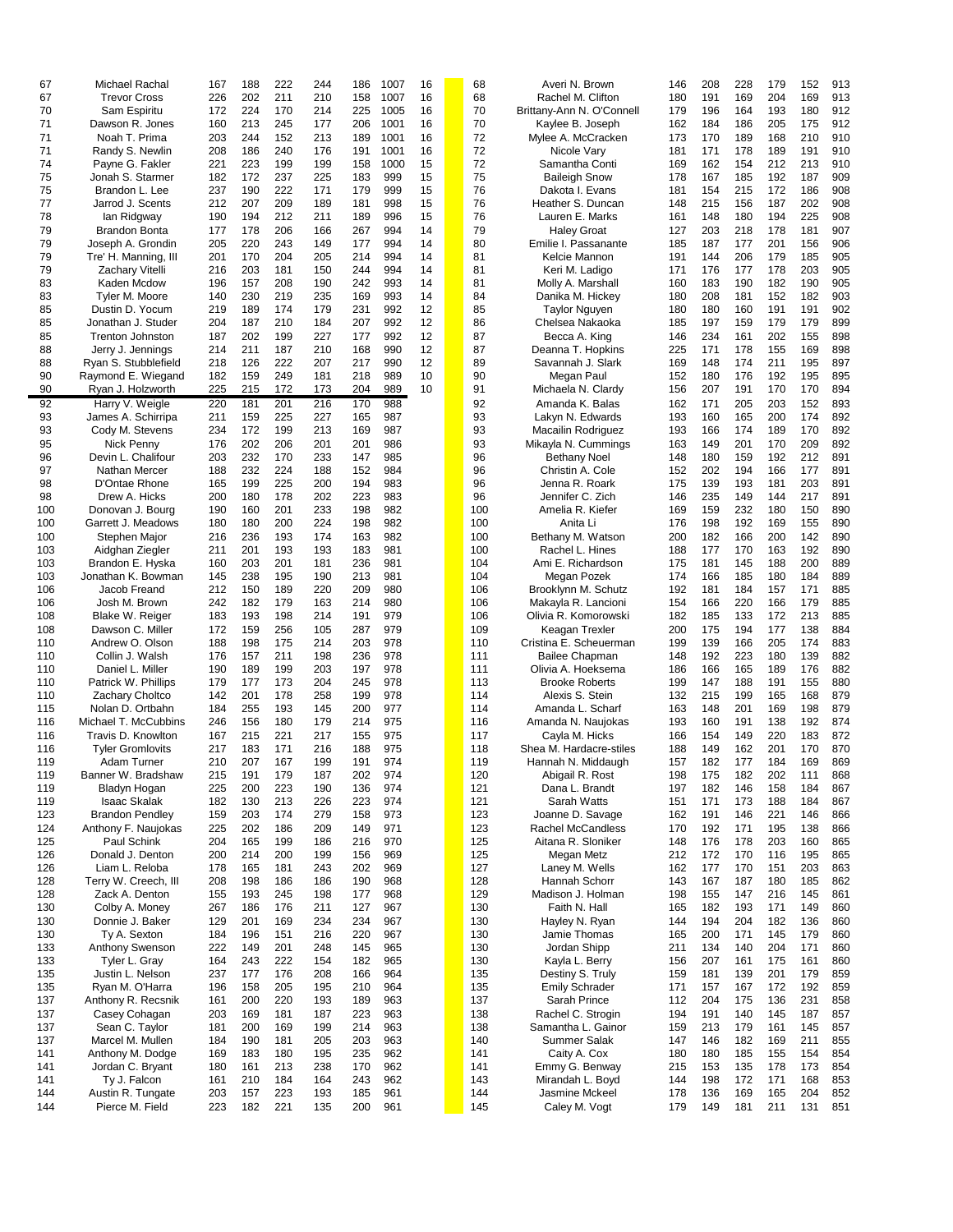| 67  | Michael Rachal          | 167 | 188 | 222 | 244 | 186 | 1007 | 16 | 68  | Averi N. Brown            | 146 | 208 | 228 | 179 | 152 | 913 |
|-----|-------------------------|-----|-----|-----|-----|-----|------|----|-----|---------------------------|-----|-----|-----|-----|-----|-----|
|     |                         |     |     |     |     |     |      |    |     |                           |     |     |     | 204 |     |     |
| 67  | <b>Trevor Cross</b>     | 226 | 202 | 211 | 210 | 158 | 1007 | 16 | 68  | Rachel M. Clifton         | 180 | 191 | 169 |     | 169 | 913 |
| 70  | Sam Espiritu            | 172 | 224 | 170 | 214 | 225 | 1005 | 16 | 70  | Brittany-Ann N. O'Connell | 179 | 196 | 164 | 193 | 180 | 912 |
| 71  | Dawson R. Jones         | 160 | 213 | 245 | 177 | 206 | 1001 | 16 | 70  | Kaylee B. Joseph          | 162 | 184 | 186 | 205 | 175 | 912 |
| 71  | Noah T. Prima           | 203 | 244 | 152 | 213 | 189 | 1001 | 16 | 72  | Mylee A. McCracken        | 173 | 170 | 189 | 168 | 210 | 910 |
| 71  | Randy S. Newlin         | 208 | 186 | 240 | 176 | 191 | 1001 | 16 | 72  | Nicole Vary               | 181 | 171 | 178 | 189 | 191 | 910 |
|     |                         |     |     |     |     |     |      |    |     |                           |     |     |     |     |     |     |
| 74  | Payne G. Fakler         | 221 | 223 | 199 | 199 | 158 | 1000 | 15 | 72  | Samantha Conti            | 169 | 162 | 154 | 212 | 213 | 910 |
| 75  | Jonah S. Starmer        | 182 | 172 | 237 | 225 | 183 | 999  | 15 | 75  | <b>Baileigh Snow</b>      | 178 | 167 | 185 | 192 | 187 | 909 |
| 75  | Brandon L. Lee          | 237 | 190 | 222 | 171 | 179 | 999  | 15 | 76  | Dakota I. Evans           | 181 | 154 | 215 | 172 | 186 | 908 |
| 77  | Jarrod J. Scents        | 212 | 207 | 209 | 189 | 181 | 998  | 15 | 76  | Heather S. Duncan         | 148 | 215 | 156 | 187 | 202 | 908 |
|     |                         |     |     |     |     |     |      |    |     |                           |     |     |     |     |     |     |
| 78  | lan Ridgway             | 190 | 194 | 212 | 211 | 189 | 996  | 15 | 76  | Lauren E. Marks           | 161 | 148 | 180 | 194 | 225 | 908 |
| 79  | <b>Brandon Bonta</b>    | 177 | 178 | 206 | 166 | 267 | 994  | 14 | 79  | <b>Haley Groat</b>        | 127 | 203 | 218 | 178 | 181 | 907 |
| 79  | Joseph A. Grondin       | 205 | 220 | 243 | 149 | 177 | 994  | 14 | 80  | Emilie I. Passanante      | 185 | 187 | 177 | 201 | 156 | 906 |
| 79  | Tre' H. Manning, III    | 201 | 170 | 204 | 205 | 214 | 994  | 14 | 81  | Kelcie Mannon             | 191 | 144 | 206 | 179 | 185 | 905 |
| 79  |                         | 216 | 203 | 181 |     |     | 994  | 14 | 81  |                           | 171 | 176 | 177 | 178 | 203 | 905 |
|     | Zachary Vitelli         |     |     |     | 150 | 244 |      |    |     | Keri M. Ladigo            |     |     |     |     |     |     |
| 83  | Kaden Mcdow             | 196 | 157 | 208 | 190 | 242 | 993  | 14 | 81  | Molly A. Marshall         | 160 | 183 | 190 | 182 | 190 | 905 |
| 83  | Tyler M. Moore          | 140 | 230 | 219 | 235 | 169 | 993  | 14 | 84  | Danika M. Hickey          | 180 | 208 | 181 | 152 | 182 | 903 |
| 85  | Dustin D. Yocum         | 219 | 189 | 174 | 179 | 231 | 992  | 12 | 85  | Taylor Nguyen             | 180 | 180 | 160 | 191 | 191 | 902 |
| 85  | Jonathan J. Studer      | 204 | 187 | 210 | 184 | 207 | 992  | 12 | 86  | Chelsea Nakaoka           | 185 | 197 | 159 | 179 | 179 | 899 |
|     |                         |     |     |     |     |     |      |    |     |                           |     |     |     |     |     |     |
| 85  | <b>Trenton Johnston</b> | 187 | 202 | 199 | 227 | 177 | 992  | 12 | 87  | Becca A. King             | 146 | 234 | 161 | 202 | 155 | 898 |
| 88  | Jerry J. Jennings       | 214 | 211 | 187 | 210 | 168 | 990  | 12 | 87  | Deanna T. Hopkins         | 225 | 171 | 178 | 155 | 169 | 898 |
| 88  | Ryan S. Stubblefield    | 218 | 126 | 222 | 207 | 217 | 990  | 12 | 89  | Savannah J. Slark         | 169 | 148 | 174 | 211 | 195 | 897 |
| 90  | Raymond E. Wiegand      | 182 | 159 | 249 | 181 | 218 | 989  | 10 | 90  | Megan Paul                | 152 | 180 | 176 | 192 | 195 | 895 |
| 90  | Ryan J. Holzworth       | 225 | 215 | 172 | 173 | 204 | 989  | 10 | 91  | Michaela N. Clardy        | 156 | 207 | 191 | 170 | 170 | 894 |
|     |                         |     |     |     |     |     |      |    |     |                           |     |     |     |     |     |     |
| 92  | Harry V. Weigle         | 220 | 181 | 201 | 216 | 170 | 988  |    | 92  | Amanda K. Balas           | 162 | 171 | 205 | 203 | 152 | 893 |
| 93  | James A. Schirripa      | 211 | 159 | 225 | 227 | 165 | 987  |    | 93  | Lakyn N. Edwards          | 193 | 160 | 165 | 200 | 174 | 892 |
| 93  | Cody M. Stevens         | 234 | 172 | 199 | 213 | 169 | 987  |    | 93  | Macailin Rodriguez        | 193 | 166 | 174 | 189 | 170 | 892 |
| 95  | Nick Penny              | 176 | 202 | 206 | 201 | 201 | 986  |    | 93  | Mikayla N. Cummings       | 163 | 149 | 201 | 170 | 209 | 892 |
|     |                         |     |     |     |     |     |      |    |     |                           |     |     |     |     |     |     |
| 96  | Devin L. Chalifour      | 203 | 232 | 170 | 233 | 147 | 985  |    | 96  | <b>Bethany Noel</b>       | 148 | 180 | 159 | 192 | 212 | 891 |
| 97  | Nathan Mercer           | 188 | 232 | 224 | 188 | 152 | 984  |    | 96  | Christin A. Cole          | 152 | 202 | 194 | 166 | 177 | 891 |
| 98  | D'Ontae Rhone           | 165 | 199 | 225 | 200 | 194 | 983  |    | 96  | Jenna R. Roark            | 175 | 139 | 193 | 181 | 203 | 891 |
| 98  | Drew A. Hicks           | 200 | 180 | 178 | 202 | 223 | 983  |    | 96  | Jennifer C. Zich          | 146 | 235 | 149 | 144 | 217 | 891 |
| 100 | Donovan J. Bourg        | 190 | 160 | 201 | 233 | 198 | 982  |    | 100 | Amelia R. Kiefer          | 169 | 159 | 232 | 180 | 150 | 890 |
|     |                         |     |     |     |     |     |      |    |     |                           |     |     |     |     |     |     |
| 100 | Garrett J. Meadows      | 180 | 180 | 200 | 224 | 198 | 982  |    | 100 | Anita Li                  | 176 | 198 | 192 | 169 | 155 | 890 |
| 100 | Stephen Major           | 216 | 236 | 193 | 174 | 163 | 982  |    | 100 | Bethany M. Watson         | 200 | 182 | 166 | 200 | 142 | 890 |
| 103 | Aidghan Ziegler         | 211 | 201 | 193 | 193 | 183 | 981  |    | 100 | Rachel L. Hines           | 188 | 177 | 170 | 163 | 192 | 890 |
| 103 | Brandon E. Hyska        | 160 | 203 | 201 | 181 | 236 | 981  |    | 104 | Ami E. Richardson         | 175 | 181 | 145 | 188 | 200 | 889 |
| 103 | Jonathan K. Bowman      | 145 | 238 | 195 | 190 | 213 | 981  |    | 104 | Megan Pozek               | 174 | 166 | 185 | 180 | 184 | 889 |
|     |                         |     |     |     |     |     |      |    |     |                           |     |     |     |     |     |     |
| 106 | Jacob Freand            | 212 | 150 | 189 | 220 | 209 | 980  |    | 106 | Brooklynn M. Schutz       | 192 | 181 | 184 | 157 | 171 | 885 |
| 106 | Josh M. Brown           | 242 | 182 | 179 | 163 | 214 | 980  |    | 106 | Makayla R. Lancioni       | 154 | 166 | 220 | 166 | 179 | 885 |
| 108 | Blake W. Reiger         | 183 | 193 | 198 | 214 | 191 | 979  |    | 106 | Olivia R. Komorowski      | 182 | 185 | 133 | 172 | 213 | 885 |
| 108 | Dawson C. Miller        | 172 | 159 | 256 | 105 | 287 | 979  |    | 109 | Keagan Trexler            | 200 | 175 | 194 | 177 | 138 | 884 |
| 110 | Andrew O. Olson         | 188 | 198 | 175 | 214 | 203 | 978  |    | 110 | Cristina E. Scheuerman    | 199 | 139 | 166 | 205 | 174 | 883 |
|     |                         |     |     |     |     |     |      |    |     |                           |     |     |     |     |     |     |
| 110 | Collin J. Walsh         | 176 | 157 | 211 | 198 | 236 | 978  |    | 111 | Bailee Chapman            | 148 | 192 | 223 | 180 | 139 | 882 |
| 110 | Daniel L. Miller        | 190 | 189 | 199 | 203 | 197 | 978  |    | 111 | Olivia A. Hoeksema        | 186 | 166 | 165 | 189 | 176 | 882 |
| 110 | Patrick W. Phillips     | 179 | 177 | 173 | 204 | 245 | 978  |    | 113 | <b>Brooke Roberts</b>     | 199 | 147 | 188 | 191 | 155 | 880 |
| 110 | Zachary Choltco         | 142 | 201 | 178 | 258 | 199 | 978  |    | 114 | Alexis S. Stein           | 132 | 215 | 199 | 165 | 168 | 879 |
| 115 | Nolan D. Ortbahn        | 184 | 255 | 193 | 145 | 200 | 977  |    | 114 | Amanda L. Scharf          | 163 | 148 | 201 | 169 | 198 | 879 |
|     |                         |     |     |     |     |     |      |    |     |                           |     |     |     |     |     |     |
| 116 | Michael T. McCubbins    | 246 | 156 | 180 | 179 | 214 | 975  |    | 116 | Amanda N. Naujokas        | 193 | 160 | 191 | 138 | 192 | 874 |
| 116 | Travis D. Knowlton      | 167 | 215 | 221 | 217 | 155 | 975  |    | 117 | Cayla M. Hicks            | 166 | 154 | 149 | 220 | 183 | 872 |
| 116 | <b>Tyler Gromlovits</b> | 217 | 183 | 171 | 216 | 188 | 975  |    | 118 | Shea M. Hardacre-stiles   | 188 | 149 | 162 | 201 | 170 | 870 |
| 119 | Adam Turner             | 210 | 207 | 167 | 199 | 191 | 974  |    | 119 | Hannah N. Middaugh        | 157 | 182 | 177 | 184 | 169 | 869 |
| 119 | Banner W. Bradshaw      | 215 | 191 | 179 | 187 | 202 | 974  |    | 120 | Abigail R. Rost           | 198 | 175 | 182 | 202 | 111 | 868 |
| 119 |                         |     | 200 |     | 190 | 136 | 974  |    | 121 |                           |     | 182 |     | 158 | 184 | 867 |
|     | Bladyn Hogan            | 225 |     | 223 |     |     |      |    |     | Dana L. Brandt            | 197 |     | 146 |     |     |     |
| 119 | <b>Isaac Skalak</b>     | 182 | 130 | 213 | 226 | 223 | 974  |    | 121 | Sarah Watts               | 151 | 171 | 173 | 188 | 184 | 867 |
| 123 | <b>Brandon Pendley</b>  | 159 | 203 | 174 | 279 | 158 | 973  |    | 123 | Joanne D. Savage          | 162 | 191 | 146 | 221 | 146 | 866 |
| 124 | Anthony F. Naujokas     | 225 | 202 | 186 | 209 | 149 | 971  |    | 123 | <b>Rachel McCandless</b>  | 170 | 192 | 171 | 195 | 138 | 866 |
| 125 | Paul Schink             | 204 | 165 | 199 | 186 | 216 | 970  |    | 125 | Aitana R. Sloniker        | 148 | 176 | 178 | 203 | 160 | 865 |
|     |                         |     |     | 200 |     |     |      |    |     |                           |     |     |     |     |     |     |
| 126 | Donald J. Denton        | 200 | 214 |     | 199 | 156 | 969  |    | 125 | Megan Metz                | 212 | 172 | 170 | 116 | 195 | 865 |
| 126 | Liam L. Reloba          | 178 | 165 | 181 | 243 | 202 | 969  |    | 127 | Laney M. Wells            | 162 | 177 | 170 | 151 | 203 | 863 |
| 128 | Terry W. Creech, III    | 208 | 198 | 186 | 186 | 190 | 968  |    | 128 | Hannah Schorr             | 143 | 167 | 187 | 180 | 185 | 862 |
| 128 | Zack A. Denton          | 155 | 193 | 245 | 198 | 177 | 968  |    | 129 | Madison J. Holman         | 198 | 155 | 147 | 216 | 145 | 861 |
| 130 | Colby A. Money          | 267 | 186 | 176 | 211 | 127 | 967  |    | 130 | Faith N. Hall             | 165 | 182 | 193 | 171 | 149 | 860 |
| 130 | Donnie J. Baker         | 129 | 201 | 169 | 234 | 234 | 967  |    | 130 | Hayley N. Ryan            | 144 | 194 | 204 | 182 | 136 | 860 |
|     |                         |     |     |     |     |     |      |    |     |                           |     |     |     |     |     |     |
| 130 | Ty A. Sexton            | 184 | 196 | 151 | 216 | 220 | 967  |    | 130 | Jamie Thomas              | 165 | 200 | 171 | 145 | 179 | 860 |
| 133 | Anthony Swenson         | 222 | 149 | 201 | 248 | 145 | 965  |    | 130 | Jordan Shipp              | 211 | 134 | 140 | 204 | 171 | 860 |
| 133 | Tyler L. Gray           | 164 | 243 | 222 | 154 | 182 | 965  |    | 130 | Kayla L. Berry            | 156 | 207 | 161 | 175 | 161 | 860 |
| 135 | Justin L. Nelson        | 237 | 177 | 176 | 208 | 166 | 964  |    | 135 | Destiny S. Truly          | 159 | 181 | 139 | 201 | 179 | 859 |
| 135 | Ryan M. O'Harra         | 196 | 158 | 205 | 195 | 210 | 964  |    | 135 | <b>Emily Schrader</b>     | 171 | 157 | 167 | 172 | 192 | 859 |
|     |                         |     |     |     |     |     |      |    |     |                           |     |     |     |     |     |     |
| 137 | Anthony R. Recsnik      | 161 | 200 | 220 | 193 | 189 | 963  |    | 137 | Sarah Prince              | 112 | 204 | 175 | 136 | 231 | 858 |
| 137 | Casey Cohagan           | 203 | 169 | 181 | 187 | 223 | 963  |    | 138 | Rachel C. Strogin         | 194 | 191 | 140 | 145 | 187 | 857 |
| 137 | Sean C. Taylor          | 181 | 200 | 169 | 199 | 214 | 963  |    | 138 | Samantha L. Gainor        | 159 | 213 | 179 | 161 | 145 | 857 |
| 137 | Marcel M. Mullen        | 184 | 190 | 181 | 205 | 203 | 963  |    | 140 | Summer Salak              | 147 | 146 | 182 | 169 | 211 | 855 |
| 141 | Anthony M. Dodge        | 169 | 183 | 180 | 195 | 235 | 962  |    | 141 | Caity A. Cox              | 180 | 180 | 185 | 155 | 154 | 854 |
|     |                         |     |     |     |     |     |      |    |     |                           |     |     |     |     |     |     |
| 141 | Jordan C. Bryant        | 180 | 161 | 213 | 238 | 170 | 962  |    | 141 | Emmy G. Benway            | 215 | 153 | 135 | 178 | 173 | 854 |
| 141 | Ty J. Falcon            | 161 | 210 | 184 | 164 | 243 | 962  |    | 143 | Mirandah L. Boyd          | 144 | 198 | 172 | 171 | 168 | 853 |
| 144 | Austin R. Tungate       | 203 | 157 | 223 | 193 | 185 | 961  |    | 144 | Jasmine Mckeel            | 178 | 136 | 169 | 165 | 204 | 852 |
| 144 | Pierce M. Field         | 223 | 182 | 221 | 135 | 200 | 961  |    | 145 | Caley M. Vogt             | 179 | 149 | 181 | 211 | 131 | 851 |
|     |                         |     |     |     |     |     |      |    |     |                           |     |     |     |     |     |     |

| Averi N. Brown                               | 146        | 2      |
|----------------------------------------------|------------|--------|
| Rachel M. Clifton                            | 180        | 1      |
| ttany-Ann N. O'Connell<br>Kaylee B. Joseph   | 179<br>162 | 1<br>1 |
| Mylee A. McCracken                           | 173        | 1      |
| Nicole Vary                                  | 181        | 1      |
| Samantha Conti                               | 169        | 1      |
| <b>Baileigh Snow</b><br>Dakota I. Evans      | 178<br>181 | 1<br>1 |
| Heather S. Duncan                            | 148        | 2      |
| Lauren E. Marks                              | 161        | 1      |
| <b>Haley Groat</b>                           | 127        | 2      |
| Emilie I. Passanante                         | 185        | 1      |
| Kelcie Mannon<br>Keri M. Ladigo              | 191<br>171 | 1<br>1 |
| Molly A. Marshall                            | 160        | 1      |
| Danika M. Hickey                             | 180        | 2      |
| <b>Taylor Nguyen</b>                         | 180        | 1      |
| Chelsea Nakaoka<br>Becca A. King             | 185<br>146 | 1<br>2 |
| Deanna T. Hopkins                            | 225        | 1      |
| Savannah J. Slark                            | 169        | 1      |
| Megan Paul                                   | 152        | 1      |
| Michaela N. Clardy                           | 156        | 2      |
| Amanda K. Balas<br>Lakyn N. Edwards          | 162<br>193 | 1<br>1 |
| <b>Macailin Rodriguez</b>                    | 193        | 1      |
| <b>Mikayla N. Cummings</b>                   | 163        | 1      |
| <b>Bethany Noel</b>                          | 148        | 1      |
| Christin A. Cole                             | 152        | 2      |
| Jenna R. Roark<br>Jennifer C. Zich           | 175<br>146 | 1<br>2 |
| Amelia R. Kiefer                             | 169        | 1      |
| Anita Li                                     | 176        | 1      |
| Bethany M. Watson                            | 200        | 1      |
| Rachel L. Hines<br>Ami E. Richardson         | 188<br>175 | 1<br>1 |
| Megan Pozek                                  | 174        | 1      |
| Brooklynn M. Schutz                          | 192        | 1      |
| Makayla R. Lancioni                          | 154        | 1      |
| Olivia R. Komorowski<br>Keagan Trexler       | 182<br>200 | 1<br>1 |
| ristina E. Scheuerman                        | 199        | 1      |
| <b>Bailee Chapman</b>                        | 148        | 1      |
| Olivia A. Hoeksema                           | 186        | 1      |
| <b>Brooke Roberts</b><br>Alexis S. Stein     | 199<br>132 | 1<br>2 |
| Amanda L. Scharf                             | 163        | 1      |
| Amanda N. Naujokas                           | 193        | 1      |
| Cayla M. Hicks                               | 166        | 1      |
| hea M. Hardacre-stiles<br>Hannah N. Middaugh | 188<br>157 | 1<br>1 |
| Abigail R. Rost                              | 198        | 1      |
| Dana L. Brandt                               | 197        | 1      |
| Sarah Watts                                  | 151        | 1      |
| Joanne D. Savage                             | 162        | 1<br>1 |
| Rachel McCandless<br>Aitana R. Sloniker      | 170<br>148 | 1      |
| Megan Metz                                   | 212        | 1      |
| Laney M. Wells                               | 162        | 1      |
| Hannah Schorr                                | 143        | 1      |
| Madison J. Holman<br>Faith N. Hall           | 198<br>165 | 1<br>1 |
| Hayley N. Ryan                               | 144        | 1      |
| Jamie Thomas                                 | 165        | 2      |
| Jordan Shipp                                 | 211        | 1      |
| Kayla L. Berry<br>Destiny S. Truly           | 156<br>159 | 2<br>1 |
| Emily Schrader                               | 171        | 1      |
| Sarah Prince                                 | 112        | 2      |
| Rachel C. Strogin                            | 194        | 1      |
| Samantha L. Gainor<br>Summer Salak           | 159<br>147 | 2<br>1 |
| Caity A. Cox                                 | 180        | 1      |
| Emmy G. Benway                               | 215        | 1      |
| Mirandah L. Boyd                             | 144        | 1      |
| Jasmine Mckeel<br>Caley M. Vogt              | 178<br>179 | 1<br>1 |
|                                              |            |        |

| 146 | 208 | 228 | 179        | 152        |            |
|-----|-----|-----|------------|------------|------------|
|     |     |     | 204        | 169        | 913<br>913 |
| 180 | 191 | 169 |            |            |            |
| 179 | 196 | 164 | 193        | 180        | 912        |
| 162 | 184 | 186 | 205        | 175        | 912        |
| 173 | 170 | 189 | 168        | 210        | 910        |
| 181 | 171 | 178 | 189        | 191        | 910        |
| 169 | 162 | 154 | 212        | 213        | 910        |
| 178 | 167 | 185 | 192        | 187        | 909        |
| 181 | 154 | 215 | 172        | 186        | 908        |
| 148 | 215 | 156 | 187        | 202        | 908        |
| 161 | 148 | 180 | 194        | 225        | 908        |
| 127 | 203 | 218 | 178        | 181        | 907        |
| 185 | 187 | 177 | 201        | 156        | 906        |
| 191 | 144 | 206 | 179        | 185        | 905        |
| 171 | 176 | 177 | 178        | 203        | 905        |
| 160 | 183 | 190 | 182        | 190        | 905        |
| 180 | 208 | 181 | 152        | 182        | 903        |
| 180 | 180 | 160 | 191        | 191        | 902        |
| 185 | 197 | 159 | 179        | 179        | 899        |
| 146 | 234 | 161 | 202        | 155        | 898        |
| 225 | 171 | 178 | 155        | 169        | 898        |
| 169 | 148 | 174 | 211        |            |            |
|     |     |     |            | 195<br>195 | 897<br>895 |
| 152 | 180 | 176 | 192<br>170 |            |            |
| 156 | 207 | 191 |            | 170        | 894        |
| 162 | 171 | 205 | 203        | 152        | 893        |
| 193 | 160 | 165 | 200        | 174        | 892        |
| 193 | 166 | 174 | 189        | 170        | 892        |
| 163 | 149 | 201 | 170        | 209        | 892        |
| 148 | 180 | 159 | 192        | 212        | 891        |
| 152 | 202 | 194 | 166        | 177        | 891        |
| 175 | 139 | 193 | 181        | 203        | 891        |
| 146 | 235 | 149 | 144        | 217        | 891        |
| 169 | 159 | 232 | 180        | 150        | 890        |
| 176 | 198 | 192 | 169        | 155        | 890        |
| 200 | 182 | 166 | 200        | 142        | 890        |
| 188 | 177 | 170 | 163        | 192        | 890        |
| 175 | 181 | 145 | 188        | 200        | 889        |
| 174 | 166 | 185 | 180        | 184        | 889        |
| 192 | 181 | 184 | 157        | 171        | 885        |
| 154 | 166 | 220 | 166        | 179        | 885        |
| 182 | 185 | 133 | 172        | 213        | 885        |
| 200 | 175 | 194 | 177        | 138        | 884        |
| 199 | 139 | 166 | 205        | 174        | 883        |
| 148 | 192 | 223 | 180        | 139        | 882        |
| 186 | 166 | 165 | 189        | 176        | 882        |
| 199 | 147 | 188 | 191        | 155        | 880        |
| 132 |     | 199 | 165        |            | 879        |
|     | 215 |     |            | 168        | 879        |
| 163 | 148 | 201 | 169        | 198        |            |
| 193 | 160 | 191 | 138        | 192        | 874        |
| 166 | 154 | 149 | 220        | 183        | 872        |
| 188 | 149 | 162 | 201        | 170        | 870        |
| 157 | 182 | 177 | 184        | 169        | 869        |
| 198 | 175 | 182 | 202        | 111        | 868        |
| 197 | 182 | 146 | 158        | 184        | 867        |
| 151 | 171 | 173 | 188        | 184        | 867        |
| 162 | 191 | 146 | 221        | 146        | 866        |
| 170 | 192 | 171 | 195        | 138        | 866        |
| 148 | 176 | 178 | 203        | 160        | 865        |
| 212 | 172 | 170 | 116        | 195        | 865        |
| 162 | 177 | 170 | 151        | 203        | 863        |
| 143 | 167 | 187 | 180        | 185        | 862        |
| 198 | 155 | 147 | 216        | 145        | 861        |
| 165 | 182 | 193 | 171        | 149        | 860        |
| 144 | 194 | 204 | 182        | 136        | 860        |
| 165 | 200 | 171 | 145        | 179        | 860        |
| 211 | 134 | 140 | 204        | 171        | 860        |
| 156 | 207 | 161 | 175        | 161        | 860        |
| 159 | 181 | 139 | 201        | 179        | 859        |
| 171 | 157 | 167 | 172        | 192        | 859        |
| 112 | 204 | 175 | 136        | 231        | 858        |
| 194 | 191 | 140 | 145        | 187        | 857        |
| 159 | 213 | 179 | 161        | 145        | 857        |
| 147 | 146 | 182 | 169        | 211        | 855        |
| 180 | 180 | 185 | 155        | 154        | 854        |
| 215 | 153 | 135 | 178        | 173        | 854        |
| 144 | 198 | 172 | 171        | 168        | 853        |
| 178 | 136 | 169 | 165        | 204        | 852        |
| 179 | 149 | 181 | 211        | 131        | 851        |
|     |     |     |            |            |            |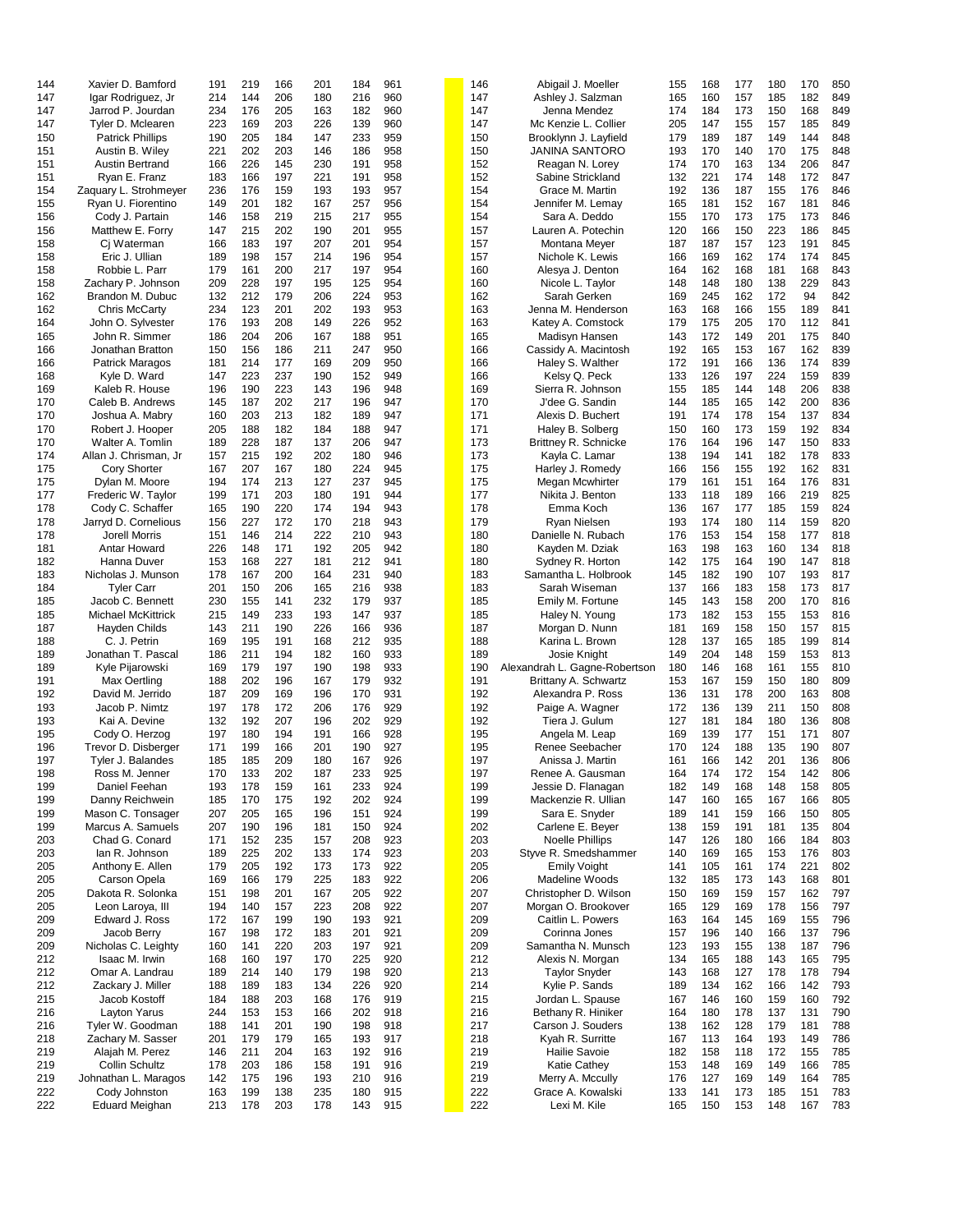| 144 | Xavier D. Bamford       | 191 | 219 | 166 | 201 | 184 | 961 | 146 | Abigail J. Moeller            | 155 | 168 | 177 | 180 | 170 | 850 |
|-----|-------------------------|-----|-----|-----|-----|-----|-----|-----|-------------------------------|-----|-----|-----|-----|-----|-----|
|     |                         |     |     |     |     |     |     |     |                               |     |     |     |     |     |     |
| 147 | Igar Rodriguez, Jr      | 214 | 144 | 206 | 180 | 216 | 960 | 147 | Ashley J. Salzman             | 165 | 160 | 157 | 185 | 182 | 849 |
| 147 | Jarrod P. Jourdan       | 234 | 176 | 205 | 163 | 182 | 960 | 147 | Jenna Mendez                  | 174 | 184 | 173 | 150 | 168 | 849 |
| 147 | Tyler D. Mclearen       | 223 | 169 | 203 | 226 | 139 | 960 | 147 | Mc Kenzie L. Collier          | 205 | 147 | 155 | 157 | 185 | 849 |
| 150 | <b>Patrick Phillips</b> | 190 | 205 | 184 | 147 | 233 | 959 | 150 | Brooklynn J. Layfield         | 179 | 189 | 187 | 149 | 144 | 848 |
|     |                         |     |     |     |     |     |     |     |                               |     |     |     |     |     |     |
| 151 | Austin B. Wiley         | 221 | 202 | 203 | 146 | 186 | 958 | 150 | <b>JANINA SANTORO</b>         | 193 | 170 | 140 | 170 | 175 | 848 |
| 151 | <b>Austin Bertrand</b>  | 166 | 226 | 145 | 230 | 191 | 958 | 152 | Reagan N. Lorey               | 174 | 170 | 163 | 134 | 206 | 847 |
| 151 | Ryan E. Franz           | 183 | 166 | 197 | 221 | 191 | 958 | 152 | Sabine Strickland             | 132 | 221 | 174 | 148 | 172 | 847 |
|     | Zaquary L. Strohmeyer   | 236 | 176 | 159 | 193 | 193 | 957 | 154 | Grace M. Martin               | 192 | 136 | 187 | 155 | 176 | 846 |
| 154 |                         |     |     |     |     |     |     |     |                               |     |     |     |     |     |     |
| 155 | Ryan U. Fiorentino      | 149 | 201 | 182 | 167 | 257 | 956 | 154 | Jennifer M. Lemay             | 165 | 181 | 152 | 167 | 181 | 846 |
| 156 | Cody J. Partain         | 146 | 158 | 219 | 215 | 217 | 955 | 154 | Sara A. Deddo                 | 155 | 170 | 173 | 175 | 173 | 846 |
| 156 | Matthew E. Forry        | 147 | 215 | 202 | 190 | 201 | 955 | 157 | Lauren A. Potechin            | 120 | 166 | 150 | 223 | 186 | 845 |
|     |                         |     |     |     |     |     |     |     |                               |     |     |     |     |     |     |
| 158 | Cj Waterman             | 166 | 183 | 197 | 207 | 201 | 954 | 157 | Montana Meyer                 | 187 | 187 | 157 | 123 | 191 | 845 |
| 158 | Eric J. Ullian          | 189 | 198 | 157 | 214 | 196 | 954 | 157 | Nichole K. Lewis              | 166 | 169 | 162 | 174 | 174 | 845 |
| 158 | Robbie L. Parr          | 179 | 161 | 200 | 217 | 197 | 954 | 160 | Alesya J. Denton              | 164 | 162 | 168 | 181 | 168 | 843 |
|     |                         |     |     |     |     |     |     |     |                               |     |     |     |     |     |     |
| 158 | Zachary P. Johnson      | 209 | 228 | 197 | 195 | 125 | 954 | 160 | Nicole L. Taylor              | 148 | 148 | 180 | 138 | 229 | 843 |
| 162 | Brandon M. Dubuc        | 132 | 212 | 179 | 206 | 224 | 953 | 162 | Sarah Gerken                  | 169 | 245 | 162 | 172 | 94  | 842 |
| 162 | Chris McCarty           | 234 | 123 | 201 | 202 | 193 | 953 | 163 | Jenna M. Henderson            | 163 | 168 | 166 | 155 | 189 | 841 |
|     |                         | 176 | 193 | 208 | 149 | 226 | 952 | 163 |                               | 179 | 175 | 205 | 170 | 112 | 841 |
| 164 | John O. Sylvester       |     |     |     |     |     |     |     | Katey A. Comstock             |     |     |     |     |     |     |
| 165 | John R. Simmer          | 186 | 204 | 206 | 167 | 188 | 951 | 165 | Madisyn Hansen                | 143 | 172 | 149 | 201 | 175 | 840 |
| 166 | Jonathan Bratton        | 150 | 156 | 186 | 211 | 247 | 950 | 166 | Cassidy A. Macintosh          | 192 | 165 | 153 | 167 | 162 | 839 |
| 166 | Patrick Maragos         | 181 | 214 | 177 | 169 | 209 | 950 | 166 | Haley S. Walther              | 172 | 191 | 166 | 136 | 174 | 839 |
|     |                         |     |     |     |     |     |     |     |                               |     |     |     |     |     |     |
| 168 | Kyle D. Ward            | 147 | 223 | 237 | 190 | 152 | 949 | 166 | Kelsy Q. Peck                 | 133 | 126 | 197 | 224 | 159 | 839 |
| 169 | Kaleb R. House          | 196 | 190 | 223 | 143 | 196 | 948 | 169 | Sierra R. Johnson             | 155 | 185 | 144 | 148 | 206 | 838 |
| 170 | Caleb B. Andrews        | 145 | 187 | 202 | 217 | 196 | 947 | 170 | J'dee G. Sandin               | 144 | 185 | 165 | 142 | 200 | 836 |
| 170 |                         |     | 203 | 213 | 182 | 189 | 947 | 171 | Alexis D. Buchert             |     | 174 | 178 | 154 | 137 | 834 |
|     | Joshua A. Mabry         | 160 |     |     |     |     |     |     |                               | 191 |     |     |     |     |     |
| 170 | Robert J. Hooper        | 205 | 188 | 182 | 184 | 188 | 947 | 171 | Haley B. Solberg              | 150 | 160 | 173 | 159 | 192 | 834 |
| 170 | Walter A. Tomlin        | 189 | 228 | 187 | 137 | 206 | 947 | 173 | Brittney R. Schnicke          | 176 | 164 | 196 | 147 | 150 | 833 |
| 174 | Allan J. Chrisman, Jr   | 157 | 215 | 192 | 202 | 180 | 946 | 173 | Kayla C. Lamar                | 138 | 194 | 141 | 182 | 178 | 833 |
|     |                         |     |     |     |     |     |     |     |                               |     |     |     |     |     |     |
| 175 | <b>Cory Shorter</b>     | 167 | 207 | 167 | 180 | 224 | 945 | 175 | Harley J. Romedy              | 166 | 156 | 155 | 192 | 162 | 831 |
| 175 | Dylan M. Moore          | 194 | 174 | 213 | 127 | 237 | 945 | 175 | Megan Mcwhirter               | 179 | 161 | 151 | 164 | 176 | 831 |
| 177 | Frederic W. Taylor      | 199 | 171 | 203 | 180 | 191 | 944 | 177 | Nikita J. Benton              | 133 | 118 | 189 | 166 | 219 | 825 |
|     |                         |     |     |     |     |     |     |     |                               |     |     |     |     |     |     |
| 178 | Cody C. Schaffer        | 165 | 190 | 220 | 174 | 194 | 943 | 178 | Emma Koch                     | 136 | 167 | 177 | 185 | 159 | 824 |
| 178 | Jarryd D. Cornelious    | 156 | 227 | 172 | 170 | 218 | 943 | 179 | Ryan Nielsen                  | 193 | 174 | 180 | 114 | 159 | 820 |
| 178 | Jorell Morris           | 151 | 146 | 214 | 222 | 210 | 943 | 180 | Danielle N. Rubach            | 176 | 153 | 154 | 158 | 177 | 818 |
|     |                         |     |     |     |     |     |     |     |                               |     |     |     |     |     |     |
| 181 | Antar Howard            | 226 | 148 | 171 | 192 | 205 | 942 | 180 | Kayden M. Dziak               | 163 | 198 | 163 | 160 | 134 | 818 |
| 182 | Hanna Duver             | 153 | 168 | 227 | 181 | 212 | 941 | 180 | Sydney R. Horton              | 142 | 175 | 164 | 190 | 147 | 818 |
| 183 | Nicholas J. Munson      | 178 | 167 | 200 | 164 | 231 | 940 | 183 | Samantha L. Holbrook          | 145 | 182 | 190 | 107 | 193 | 817 |
|     |                         |     |     |     |     |     |     |     |                               |     |     |     |     |     |     |
| 184 | <b>Tyler Carr</b>       | 201 | 150 | 206 | 165 | 216 | 938 | 183 | Sarah Wiseman                 | 137 | 166 | 183 | 158 | 173 | 817 |
| 185 | Jacob C. Bennett        | 230 | 155 | 141 | 232 | 179 | 937 | 185 | Emily M. Fortune              | 145 | 143 | 158 | 200 | 170 | 816 |
| 185 | Michael McKittrick      | 215 | 149 | 233 | 193 | 147 | 937 | 185 | Haley N. Young                | 173 | 182 | 153 | 155 | 153 | 816 |
| 187 | Hayden Childs           | 143 | 211 | 190 | 226 | 166 | 936 | 187 | Morgan D. Nunn                | 181 | 169 | 158 | 150 | 157 | 815 |
|     |                         |     |     |     |     |     |     |     |                               |     |     |     |     |     |     |
| 188 | C. J. Petrin            | 169 | 195 | 191 | 168 | 212 | 935 | 188 | Karina L. Brown               | 128 | 137 | 165 | 185 | 199 | 814 |
| 189 | Jonathan T. Pascal      | 186 | 211 | 194 | 182 | 160 | 933 | 189 | Josie Knight                  | 149 | 204 | 148 | 159 | 153 | 813 |
| 189 | Kyle Pijarowski         | 169 | 179 | 197 | 190 | 198 | 933 | 190 | Alexandrah L. Gagne-Robertson | 180 | 146 | 168 | 161 | 155 | 810 |
|     |                         |     |     |     |     |     |     |     |                               |     |     |     |     |     |     |
| 191 | Max Oertling            | 188 | 202 | 196 | 167 | 179 | 932 | 191 | Brittany A. Schwartz          | 153 | 167 | 159 | 150 | 180 | 809 |
| 192 | David M. Jerrido        | 187 | 209 | 169 | 196 | 170 | 931 | 192 | Alexandra P. Ross             | 136 | 131 | 178 | 200 | 163 | 808 |
| 193 | Jacob P. Nimtz          | 197 | 178 | 172 | 206 | 176 | 929 | 192 | Paige A. Wagner               | 172 | 136 | 139 | 211 | 150 | 808 |
|     | Kai A. Devine           |     |     |     |     |     |     |     |                               |     |     |     |     |     |     |
| 193 |                         | 132 | 192 | 207 | 196 | 202 | 929 | 192 | Tiera J. Gulum                | 127 | 181 | 184 | 180 | 136 | 808 |
| 195 | Cody O. Herzog          | 197 | 180 | 194 | 191 | 166 | 928 | 195 | Angela M. Leap                | 169 | 139 | 177 | 151 | 171 | 807 |
| 196 | Trevor D. Disberger     | 171 | 199 | 166 | 201 | 190 | 927 | 195 | Renee Seebacher               | 170 | 124 | 188 | 135 | 190 | 807 |
| 197 | Tyler J. Balandes       | 185 | 185 | 209 | 180 | 167 | 926 | 197 | Anissa J. Martin              | 161 | 166 | 142 | 201 | 136 | 806 |
|     |                         |     |     |     |     |     |     |     |                               |     |     |     |     |     |     |
| 198 | Ross M. Jenner          | 170 | 133 | 202 | 187 | 233 | 925 | 197 | Renee A. Gausman              | 164 | 174 | 172 | 154 | 142 | 806 |
| 199 | Daniel Feehan           | 193 | 178 | 159 | 161 | 233 | 924 | 199 | Jessie D. Flanagan            | 182 | 149 | 168 | 148 | 158 | 805 |
| 199 | Danny Reichwein         | 185 | 170 | 175 | 192 | 202 | 924 | 199 | Mackenzie R. Ullian           | 147 | 160 | 165 | 167 | 166 | 805 |
|     |                         |     |     |     |     |     |     |     |                               |     |     |     |     |     |     |
| 199 | Mason C. Tonsager       | 207 | 205 | 165 | 196 | 151 | 924 | 199 | Sara E. Snyder                | 189 | 141 | 159 | 166 | 150 | 805 |
| 199 | Marcus A. Samuels       | 207 | 190 | 196 | 181 | 150 | 924 | 202 | Carlene E. Beyer              | 138 | 159 | 191 | 181 | 135 | 804 |
| 203 | Chad G. Conard          | 171 | 152 | 235 | 157 | 208 | 923 | 203 | <b>Noelle Phillips</b>        | 147 | 126 | 180 | 166 | 184 | 803 |
|     | lan R. Johnson          |     | 225 | 202 | 133 |     | 923 | 203 | Styve R. Smedshammer          |     |     | 165 | 153 | 176 | 803 |
| 203 |                         | 189 |     |     |     | 174 |     |     |                               | 140 | 169 |     |     |     |     |
| 205 | Anthony E. Allen        | 179 | 205 | 192 | 173 | 173 | 922 | 205 | <b>Emily Voight</b>           | 141 | 105 | 161 | 174 | 221 | 802 |
| 205 | Carson Opela            | 169 | 166 | 179 | 225 | 183 | 922 | 206 | Madeline Woods                | 132 | 185 | 173 | 143 | 168 | 801 |
| 205 | Dakota R. Solonka       | 151 | 198 | 201 | 167 | 205 | 922 | 207 | Christopher D. Wilson         | 150 | 169 | 159 | 157 | 162 | 797 |
|     |                         |     |     |     |     |     |     |     |                               |     |     |     |     |     |     |
| 205 | Leon Laroya, III        | 194 | 140 | 157 | 223 | 208 | 922 | 207 | Morgan O. Brookover           | 165 | 129 | 169 | 178 | 156 | 797 |
| 209 | Edward J. Ross          | 172 | 167 | 199 | 190 | 193 | 921 | 209 | Caitlin L. Powers             | 163 | 164 | 145 | 169 | 155 | 796 |
| 209 | Jacob Berry             | 167 | 198 | 172 | 183 | 201 | 921 | 209 | Corinna Jones                 | 157 | 196 | 140 | 166 | 137 | 796 |
|     |                         |     |     |     |     |     |     |     |                               |     |     |     |     |     |     |
| 209 | Nicholas C. Leighty     | 160 | 141 | 220 | 203 | 197 | 921 | 209 | Samantha N. Munsch            | 123 | 193 | 155 | 138 | 187 | 796 |
| 212 | Isaac M. Irwin          | 168 | 160 | 197 | 170 | 225 | 920 | 212 | Alexis N. Morgan              | 134 | 165 | 188 | 143 | 165 | 795 |
| 212 | Omar A. Landrau         | 189 | 214 | 140 | 179 | 198 | 920 | 213 | <b>Taylor Snyder</b>          | 143 | 168 | 127 | 178 | 178 | 794 |
|     |                         |     |     |     |     |     |     |     |                               |     |     |     |     |     |     |
| 212 | Zackary J. Miller       | 188 | 189 | 183 | 134 | 226 | 920 | 214 | Kylie P. Sands                | 189 | 134 | 162 | 166 | 142 | 793 |
| 215 | Jacob Kostoff           | 184 | 188 | 203 | 168 | 176 | 919 | 215 | Jordan L. Spause              | 167 | 146 | 160 | 159 | 160 | 792 |
| 216 | Layton Yarus            | 244 | 153 | 153 | 166 | 202 | 918 | 216 | Bethany R. Hiniker            | 164 | 180 | 178 | 137 | 131 | 790 |
|     |                         |     |     |     |     |     | 918 |     | Carson J. Souders             |     |     |     |     |     | 788 |
| 216 | Tyler W. Goodman        | 188 | 141 | 201 | 190 | 198 |     | 217 |                               | 138 | 162 | 128 | 179 | 181 |     |
| 218 | Zachary M. Sasser       | 201 | 179 | 179 | 165 | 193 | 917 | 218 | Kyah R. Surritte              | 167 | 113 | 164 | 193 | 149 | 786 |
| 219 | Alajah M. Perez         | 146 | 211 | 204 | 163 | 192 | 916 | 219 | Hailie Savoie                 | 182 | 158 | 118 | 172 | 155 | 785 |
| 219 | Collin Schultz          | 178 | 203 | 186 | 158 | 191 | 916 | 219 | <b>Katie Cathey</b>           | 153 | 148 | 169 | 149 | 166 | 785 |
|     |                         |     |     |     |     |     |     |     |                               |     |     |     |     |     |     |
| 219 | Johnathan L. Maragos    | 142 | 175 | 196 | 193 | 210 | 916 | 219 | Merry A. Mccully              | 176 | 127 | 169 | 149 | 164 | 785 |
| 222 | Cody Johnston           | 163 | 199 | 138 | 235 | 180 | 915 | 222 | Grace A. Kowalski             | 133 | 141 | 173 | 185 | 151 | 783 |
| 222 | Eduard Meighan          | 213 | 178 | 203 | 178 | 143 | 915 | 222 | Lexi M. Kile                  | 165 | 150 | 153 | 148 | 167 | 783 |
|     |                         |     |     |     |     |     |     |     |                               |     |     |     |     |     |     |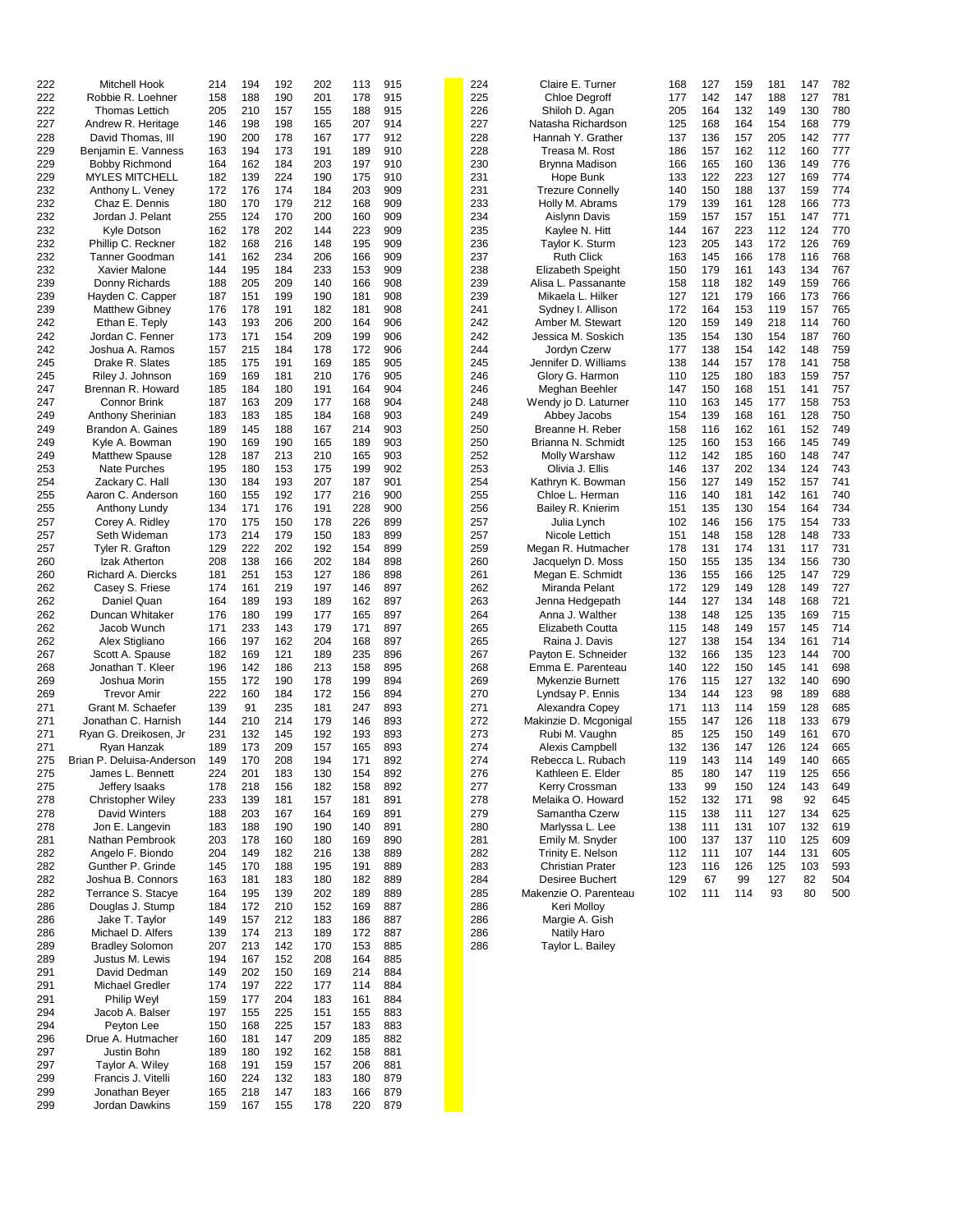| 222 | Mitchell Hook             | 214 | 194 | 192 | 202 | 113 | 915 | 224 | Claire E. Turner         | 168 | 127 | 159 | 181 | 147 | 782 |
|-----|---------------------------|-----|-----|-----|-----|-----|-----|-----|--------------------------|-----|-----|-----|-----|-----|-----|
| 222 | Robbie R. Loehner         | 158 | 188 | 190 | 201 | 178 | 915 | 225 | <b>Chloe Degroff</b>     | 177 | 142 | 147 | 188 | 127 | 781 |
| 222 | <b>Thomas Lettich</b>     | 205 | 210 | 157 | 155 | 188 | 915 | 226 | Shiloh D. Agan           | 205 | 164 | 132 | 149 | 130 | 780 |
| 227 | Andrew R. Heritage        | 146 | 198 | 198 | 165 | 207 | 914 | 227 | Natasha Richardson       | 125 | 168 | 164 | 154 | 168 | 779 |
|     |                           |     |     |     |     |     |     |     |                          |     |     |     |     |     |     |
| 228 | David Thomas, III         | 190 | 200 | 178 | 167 | 177 | 912 | 228 | Hannah Y. Grather        | 137 | 136 | 157 | 205 | 142 | 777 |
| 229 | Benjamin E. Vanness       | 163 | 194 | 173 | 191 | 189 | 910 | 228 | Treasa M. Rost           | 186 | 157 | 162 | 112 | 160 | 777 |
| 229 | <b>Bobby Richmond</b>     | 164 | 162 | 184 | 203 | 197 | 910 | 230 | Brynna Madison           | 166 | 165 | 160 | 136 | 149 | 776 |
| 229 | <b>MYLES MITCHELL</b>     | 182 | 139 | 224 | 190 | 175 | 910 | 231 | Hope Bunk                | 133 | 122 | 223 | 127 | 169 | 774 |
| 232 | Anthony L. Veney          | 172 | 176 | 174 | 184 | 203 | 909 | 231 | <b>Trezure Connelly</b>  | 140 | 150 | 188 | 137 | 159 | 774 |
| 232 | Chaz E. Dennis            | 180 | 170 | 179 | 212 | 168 | 909 | 233 | Holly M. Abrams          | 179 | 139 | 161 | 128 | 166 |     |
|     |                           |     |     |     |     |     |     |     |                          |     |     |     |     |     | 773 |
| 232 | Jordan J. Pelant          | 255 | 124 | 170 | 200 | 160 | 909 | 234 | Aislynn Davis            | 159 | 157 | 157 | 151 | 147 | 771 |
| 232 | Kyle Dotson               | 162 | 178 | 202 | 144 | 223 | 909 | 235 | Kaylee N. Hitt           | 144 | 167 | 223 | 112 | 124 | 770 |
| 232 | Phillip C. Reckner        | 182 | 168 | 216 | 148 | 195 | 909 | 236 | Taylor K. Sturm          | 123 | 205 | 143 | 172 | 126 | 769 |
| 232 | <b>Tanner Goodman</b>     | 141 | 162 | 234 | 206 | 166 | 909 | 237 | Ruth Click               | 163 | 145 | 166 | 178 | 116 | 768 |
| 232 | Xavier Malone             | 144 | 195 | 184 | 233 | 153 | 909 | 238 | <b>Elizabeth Speight</b> | 150 | 179 | 161 | 143 | 134 | 767 |
|     |                           |     |     |     |     |     |     |     |                          |     |     |     |     |     |     |
| 239 | Donny Richards            | 188 | 205 | 209 | 140 | 166 | 908 | 239 | Alisa L. Passanante      | 158 | 118 | 182 | 149 | 159 | 766 |
| 239 | Hayden C. Capper          | 187 | 151 | 199 | 190 | 181 | 908 | 239 | Mikaela L. Hilker        | 127 | 121 | 179 | 166 | 173 | 766 |
| 239 | <b>Matthew Gibney</b>     | 176 | 178 | 191 | 182 | 181 | 908 | 241 | Sydney I. Allison        | 172 | 164 | 153 | 119 | 157 | 765 |
| 242 | Ethan E. Teply            | 143 | 193 | 206 | 200 | 164 | 906 | 242 | Amber M. Stewart         | 120 | 159 | 149 | 218 | 114 | 760 |
| 242 | Jordan C. Fenner          | 173 | 171 | 154 | 209 | 199 | 906 | 242 | Jessica M. Soskich       | 135 | 154 | 130 | 154 | 187 | 760 |
| 242 | Joshua A. Ramos           | 157 | 215 | 184 | 178 | 172 | 906 | 244 | Jordyn Czerw             | 177 | 138 | 154 | 142 | 148 | 759 |
| 245 | Drake R. Slates           | 185 | 175 | 191 | 169 | 185 | 905 | 245 | Jennifer D. Williams     | 138 | 144 | 157 | 178 | 141 | 758 |
| 245 | Riley J. Johnson          | 169 | 169 | 181 | 210 | 176 | 905 | 246 | Glory G. Harmon          | 110 | 125 | 180 | 183 | 159 | 757 |
|     |                           |     |     |     |     |     |     |     |                          |     |     |     |     |     |     |
| 247 | Brennan R. Howard         | 185 | 184 | 180 | 191 | 164 | 904 | 246 | Meghan Beehler           | 147 | 150 | 168 | 151 | 141 | 757 |
| 247 | <b>Connor Brink</b>       | 187 | 163 | 209 | 177 | 168 | 904 | 248 | Wendy jo D. Laturner     | 110 | 163 | 145 | 177 | 158 | 753 |
| 249 | Anthony Sherinian         | 183 | 183 | 185 | 184 | 168 | 903 | 249 | Abbey Jacobs             | 154 | 139 | 168 | 161 | 128 | 750 |
| 249 | Brandon A. Gaines         | 189 | 145 | 188 | 167 | 214 | 903 | 250 | Breanne H. Reber         | 158 | 116 | 162 | 161 | 152 | 749 |
| 249 | Kyle A. Bowman            | 190 | 169 | 190 | 165 | 189 | 903 | 250 | Brianna N. Schmidt       | 125 | 160 | 153 | 166 | 145 | 749 |
| 249 | <b>Matthew Spause</b>     | 128 | 187 | 213 | 210 | 165 | 903 | 252 | Molly Warshaw            | 112 | 142 | 185 | 160 | 148 | 747 |
| 253 | <b>Nate Purches</b>       | 195 | 180 | 153 | 175 | 199 | 902 | 253 | Olivia J. Ellis          | 146 | 137 | 202 | 134 | 124 | 743 |
|     |                           |     |     |     |     |     |     |     |                          |     |     |     |     |     |     |
| 254 | Zackary C. Hall           | 130 | 184 | 193 | 207 | 187 | 901 | 254 | Kathryn K. Bowman        | 156 | 127 | 149 | 152 | 157 | 741 |
| 255 | Aaron C. Anderson         | 160 | 155 | 192 | 177 | 216 | 900 | 255 | Chloe L. Herman          | 116 | 140 | 181 | 142 | 161 | 740 |
| 255 | Anthony Lundy             | 134 | 171 | 176 | 191 | 228 | 900 | 256 | Bailey R. Knierim        | 151 | 135 | 130 | 154 | 164 | 734 |
| 257 | Corey A. Ridley           | 170 | 175 | 150 | 178 | 226 | 899 | 257 | Julia Lynch              | 102 | 146 | 156 | 175 | 154 | 733 |
| 257 | Seth Wideman              | 173 | 214 | 179 | 150 | 183 | 899 | 257 | Nicole Lettich           | 151 | 148 | 158 | 128 | 148 | 733 |
| 257 | Tyler R. Grafton          | 129 | 222 | 202 | 192 | 154 | 899 | 259 | Megan R. Hutmacher       | 178 | 131 | 174 | 131 | 117 | 731 |
| 260 | Izak Atherton             | 208 | 138 | 166 | 202 | 184 | 898 | 260 | Jacquelyn D. Moss        | 150 | 155 | 135 | 134 | 156 | 730 |
| 260 | Richard A. Diercks        | 181 | 251 | 153 | 127 | 186 | 898 | 261 | Megan E. Schmidt         | 136 | 155 | 166 | 125 | 147 | 729 |
|     |                           |     |     |     |     |     |     |     |                          |     |     |     |     |     | 727 |
| 262 | Casey S. Friese           | 174 | 161 | 219 | 197 | 146 | 897 | 262 | Miranda Pelant           | 172 | 129 | 149 | 128 | 149 |     |
| 262 | Daniel Quan               | 164 | 189 | 193 | 189 | 162 | 897 | 263 | Jenna Hedgepath          | 144 | 127 | 134 | 148 | 168 | 721 |
| 262 | Duncan Whitaker           | 176 | 180 | 199 | 177 | 165 | 897 | 264 | Anna J. Walther          | 138 | 148 | 125 | 135 | 169 | 715 |
| 262 | Jacob Wunch               | 171 | 233 | 143 | 179 | 171 | 897 | 265 | Elizabeth Coutta         | 115 | 148 | 149 | 157 | 145 | 714 |
| 262 | Alex Stigliano            | 166 | 197 | 162 | 204 | 168 | 897 | 265 | Raina J. Davis           | 127 | 138 | 154 | 134 | 161 | 714 |
| 267 | Scott A. Spause           | 182 | 169 | 121 | 189 | 235 | 896 | 267 | Payton E. Schneider      | 132 | 166 | 135 | 123 | 144 | 700 |
| 268 | Jonathan T. Kleer         | 196 | 142 | 186 | 213 | 158 | 895 | 268 | Emma E. Parenteau        | 140 | 122 | 150 | 145 | 141 | 698 |
|     | Joshua Morin              |     | 172 | 190 | 178 |     | 894 | 269 |                          | 176 |     | 127 | 132 | 140 | 690 |
| 269 |                           | 155 |     |     |     | 199 |     |     | Mykenzie Burnett         |     | 115 |     |     |     |     |
| 269 | <b>Trevor Amir</b>        | 222 | 160 | 184 | 172 | 156 | 894 | 270 | Lyndsay P. Ennis         | 134 | 144 | 123 | 98  | 189 | 688 |
| 271 | Grant M. Schaefer         | 139 | 91  | 235 | 181 | 247 | 893 | 271 | Alexandra Copey          | 171 | 113 | 114 | 159 | 128 | 685 |
| 271 | Jonathan C. Harnish       | 144 | 210 | 214 | 179 | 146 | 893 | 272 | Makinzie D. Mcgonigal    | 155 | 147 | 126 | 118 | 133 | 679 |
| 271 | Ryan G. Dreikosen, Jr     | 231 | 132 | 145 | 192 | 193 | 893 | 273 | Rubi M. Vaughn           | 85  | 125 | 150 | 149 | 161 | 670 |
| 271 | Ryan Hanzak               | 189 | 173 | 209 | 157 | 165 | 893 | 274 | Alexis Campbell          | 132 | 136 | 147 | 126 | 124 | 665 |
| 275 | Brian P. Deluisa-Anderson | 149 | 170 | 208 | 194 | 171 | 892 | 274 | Rebecca L. Rubach        | 119 | 143 | 114 | 149 | 140 | 665 |
| 275 | James L. Bennett          | 224 | 201 | 183 | 130 | 154 | 892 | 276 | Kathleen E. Elder        | 85  | 180 | 147 | 119 | 125 | 656 |
|     |                           |     |     |     |     |     |     |     |                          |     |     |     |     |     |     |
| 275 | Jeffery Isaaks            | 178 | 218 | 156 | 182 | 158 | 892 | 277 | Kerry Crossman           | 133 | 99  | 150 | 124 | 143 | 649 |
| 278 | <b>Christopher Wiley</b>  | 233 | 139 | 181 | 157 | 181 | 891 | 278 | Melaika O. Howard        | 152 | 132 | 171 | 98  | 92  | 645 |
| 278 | David Winters             | 188 | 203 | 167 | 164 | 169 | 891 | 279 | Samantha Czerw           | 115 | 138 | 111 | 127 | 134 | 625 |
| 278 | Jon E. Langevin           | 183 | 188 | 190 | 190 | 140 | 891 | 280 | Marlyssa L. Lee          | 138 | 111 | 131 | 107 | 132 | 619 |
| 281 | Nathan Pembrook           | 203 | 178 | 160 | 180 | 169 | 890 | 281 | Emily M. Snyder          | 100 | 137 | 137 | 110 | 125 | 609 |
| 282 | Angelo F. Biondo          | 204 | 149 | 182 | 216 | 138 | 889 | 282 | Trinity E. Nelson        | 112 | 111 | 107 | 144 | 131 | 605 |
| 282 | Gunther P. Grinde         | 145 | 170 | 188 | 195 | 191 | 889 | 283 | <b>Christian Prater</b>  | 123 | 116 | 126 | 125 | 103 | 593 |
| 282 | Joshua B. Connors         | 163 | 181 | 183 | 180 | 182 | 889 | 284 | <b>Desiree Buchert</b>   | 129 | 67  | 99  | 127 | 82  | 504 |
|     |                           |     |     |     |     |     |     |     |                          |     |     |     |     |     |     |
| 282 | Terrance S. Stacye        | 164 | 195 | 139 | 202 | 189 | 889 | 285 | Makenzie O. Parenteau    | 102 | 111 | 114 | 93  | 80  | 500 |
| 286 | Douglas J. Stump          | 184 | 172 | 210 | 152 | 169 | 887 | 286 | Keri Molloy              |     |     |     |     |     |     |
| 286 | Jake T. Taylor            | 149 | 157 | 212 | 183 | 186 | 887 | 286 | Margie A. Gish           |     |     |     |     |     |     |
| 286 | Michael D. Alfers         | 139 | 174 | 213 | 189 | 172 | 887 | 286 | <b>Natily Haro</b>       |     |     |     |     |     |     |
| 289 | <b>Bradley Solomon</b>    | 207 | 213 | 142 | 170 | 153 | 885 | 286 | Taylor L. Bailey         |     |     |     |     |     |     |
| 289 | Justus M. Lewis           | 194 | 167 | 152 | 208 | 164 | 885 |     |                          |     |     |     |     |     |     |
| 291 | David Dedman              | 149 | 202 | 150 | 169 | 214 | 884 |     |                          |     |     |     |     |     |     |
| 291 | Michael Gredler           | 174 | 197 | 222 | 177 | 114 | 884 |     |                          |     |     |     |     |     |     |
|     |                           |     |     |     |     |     |     |     |                          |     |     |     |     |     |     |
| 291 | Philip Weyl               | 159 | 177 | 204 | 183 | 161 | 884 |     |                          |     |     |     |     |     |     |
| 294 | Jacob A. Balser           | 197 | 155 | 225 | 151 | 155 | 883 |     |                          |     |     |     |     |     |     |
| 294 | Peyton Lee                | 150 | 168 | 225 | 157 | 183 | 883 |     |                          |     |     |     |     |     |     |
| 296 | Drue A. Hutmacher         | 160 | 181 | 147 | 209 | 185 | 882 |     |                          |     |     |     |     |     |     |
| 297 | Justin Bohn               | 189 | 180 | 192 | 162 | 158 | 881 |     |                          |     |     |     |     |     |     |
| 297 | Taylor A. Wiley           | 168 | 191 | 159 | 157 | 206 | 881 |     |                          |     |     |     |     |     |     |
| 299 | Francis J. Vitelli        | 160 | 224 | 132 | 183 | 180 | 879 |     |                          |     |     |     |     |     |     |
| 299 | Jonathan Beyer            | 165 | 218 | 147 | 183 | 166 | 879 |     |                          |     |     |     |     |     |     |
|     |                           | 159 | 167 | 155 | 178 | 220 | 879 |     |                          |     |     |     |     |     |     |
| 299 | Jordan Dawkins            |     |     |     |     |     |     |     |                          |     |     |     |     |     |     |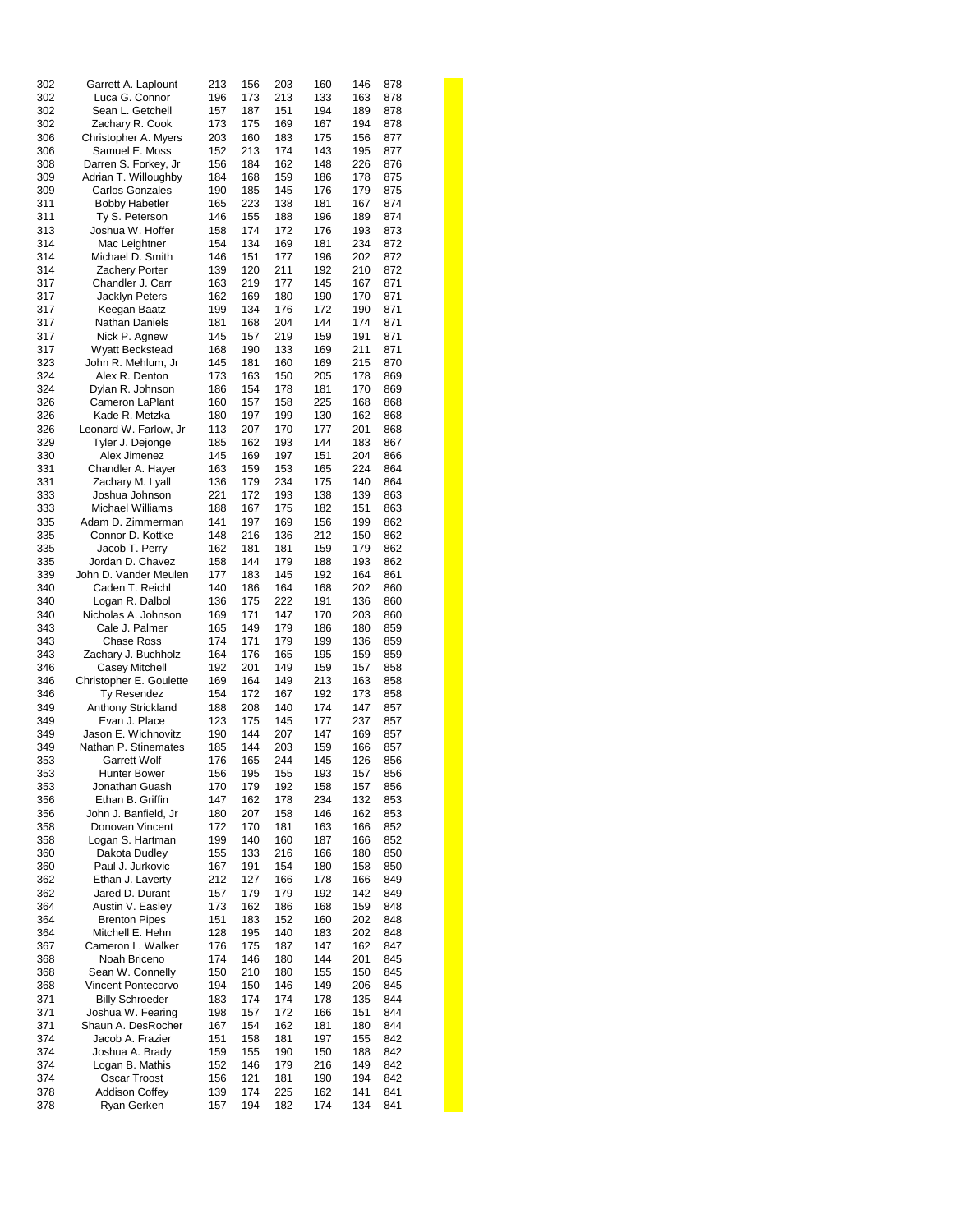| 302 | Garrett A. Laplount     | 213 | 156 | 203 | 160 | 146 | 878 |  |
|-----|-------------------------|-----|-----|-----|-----|-----|-----|--|
| 302 | Luca G. Connor          | 196 | 173 | 213 | 133 | 163 | 878 |  |
| 302 | Sean L. Getchell        | 157 | 187 | 151 | 194 | 189 | 878 |  |
| 302 | Zachary R. Cook         | 173 | 175 | 169 | 167 | 194 | 878 |  |
| 306 | Christopher A. Myers    | 203 | 160 | 183 | 175 | 156 | 877 |  |
| 306 | Samuel E. Moss          | 152 | 213 | 174 | 143 | 195 | 877 |  |
| 308 |                         | 156 | 184 | 162 | 148 | 226 | 876 |  |
|     | Darren S. Forkey, Jr    |     |     |     |     |     |     |  |
| 309 | Adrian T. Willoughby    | 184 | 168 | 159 | 186 | 178 | 875 |  |
| 309 | <b>Carlos Gonzales</b>  | 190 | 185 | 145 | 176 | 179 | 875 |  |
| 311 | <b>Bobby Habetler</b>   | 165 | 223 | 138 | 181 | 167 | 874 |  |
| 311 | Ty S. Peterson          | 146 | 155 | 188 | 196 | 189 | 874 |  |
| 313 | Joshua W. Hoffer        | 158 | 174 | 172 | 176 | 193 | 873 |  |
| 314 | Mac Leightner           | 154 | 134 | 169 | 181 | 234 | 872 |  |
| 314 | Michael D. Smith        | 146 | 151 | 177 | 196 | 202 | 872 |  |
| 314 | Zachery Porter          | 139 | 120 | 211 | 192 | 210 | 872 |  |
| 317 | Chandler J. Carr        | 163 | 219 | 177 | 145 | 167 | 871 |  |
| 317 | Jacklyn Peters          | 162 | 169 | 180 | 190 | 170 | 871 |  |
| 317 | Keegan Baatz            | 199 | 134 | 176 | 172 | 190 | 871 |  |
| 317 | Nathan Daniels          | 181 | 168 | 204 | 144 | 174 | 871 |  |
| 317 | Nick P. Agnew           | 145 | 157 | 219 | 159 | 191 | 871 |  |
|     |                         |     |     |     |     | 211 |     |  |
| 317 | Wyatt Beckstead         | 168 | 190 | 133 | 169 |     | 871 |  |
| 323 | John R. Mehlum, Jr      | 145 | 181 | 160 | 169 | 215 | 870 |  |
| 324 | Alex R. Denton          | 173 | 163 | 150 | 205 | 178 | 869 |  |
| 324 | Dylan R. Johnson        | 186 | 154 | 178 | 181 | 170 | 869 |  |
| 326 | Cameron LaPlant         | 160 | 157 | 158 | 225 | 168 | 868 |  |
| 326 | Kade R. Metzka          | 180 | 197 | 199 | 130 | 162 | 868 |  |
| 326 | Leonard W. Farlow, Jr   | 113 | 207 | 170 | 177 | 201 | 868 |  |
| 329 | Tyler J. Dejonge        | 185 | 162 | 193 | 144 | 183 | 867 |  |
| 330 | Alex Jimenez            | 145 | 169 | 197 | 151 | 204 | 866 |  |
| 331 | Chandler A. Hayer       | 163 | 159 | 153 | 165 | 224 | 864 |  |
| 331 | Zachary M. Lyall        | 136 | 179 | 234 | 175 | 140 | 864 |  |
| 333 | Joshua Johnson          | 221 | 172 | 193 | 138 | 139 | 863 |  |
| 333 | Michael Williams        | 188 | 167 | 175 | 182 | 151 | 863 |  |
| 335 | Adam D. Zimmerman       | 141 | 197 | 169 | 156 | 199 | 862 |  |
|     | Connor D. Kottke        | 148 | 216 |     | 212 | 150 | 862 |  |
| 335 |                         |     |     | 136 |     |     |     |  |
| 335 | Jacob T. Perry          | 162 | 181 | 181 | 159 | 179 | 862 |  |
| 335 | Jordan D. Chavez        | 158 | 144 | 179 | 188 | 193 | 862 |  |
| 339 | John D. Vander Meulen   | 177 | 183 | 145 | 192 | 164 | 861 |  |
| 340 | Caden T. Reichl         | 140 | 186 | 164 | 168 | 202 | 860 |  |
| 340 | Logan R. Dalbol         | 136 | 175 | 222 | 191 | 136 | 860 |  |
| 340 | Nicholas A. Johnson     | 169 | 171 | 147 | 170 | 203 | 860 |  |
| 343 | Cale J. Palmer          | 165 | 149 | 179 | 186 | 180 | 859 |  |
| 343 | Chase Ross              | 174 | 171 | 179 | 199 | 136 | 859 |  |
| 343 | Zachary J. Buchholz     | 164 | 176 | 165 | 195 | 159 | 859 |  |
| 346 | <b>Casey Mitchell</b>   | 192 | 201 | 149 | 159 | 157 | 858 |  |
| 346 | Christopher E. Goulette | 169 | 164 | 149 | 213 | 163 | 858 |  |
| 346 | Ty Resendez             | 154 | 172 | 167 | 192 | 173 | 858 |  |
| 349 | Anthony Strickland      | 188 | 208 | 140 | 174 | 147 | 857 |  |
| 349 | Evan J. Place           | 123 | 175 | 145 | 177 | 237 | 857 |  |
|     | Jason E. Wichnovitz     |     |     |     |     |     |     |  |
| 349 |                         | 190 | 144 | 207 | 147 | 169 | 857 |  |
| 349 | Nathan P. Stinemates    | 185 | 144 | 203 | 159 | 166 | 857 |  |
| 353 | <b>Garrett Wolf</b>     | 176 | 165 | 244 | 145 | 126 | 856 |  |
| 353 | Hunter Bower            | 156 | 195 | 155 | 193 | 157 | 856 |  |
| 353 | Jonathan Guash          | 170 | 179 | 192 | 158 | 157 | 856 |  |
| 356 | Ethan B. Griffin        | 147 | 162 | 178 | 234 | 132 | 853 |  |
| 356 | John J. Banfield, Jr    | 180 | 207 | 158 | 146 | 162 | 853 |  |
| 358 | Donovan Vincent         | 172 | 170 | 181 | 163 | 166 | 852 |  |
| 358 | Logan S. Hartman        | 199 | 140 | 160 | 187 | 166 | 852 |  |
| 360 | Dakota Dudley           | 155 | 133 | 216 | 166 | 180 | 850 |  |
| 360 | Paul J. Jurkovic        | 167 | 191 | 154 | 180 | 158 | 850 |  |
| 362 | Ethan J. Laverty        | 212 | 127 | 166 | 178 | 166 | 849 |  |
| 362 | Jared D. Durant         | 157 | 179 | 179 | 192 | 142 | 849 |  |
| 364 | Austin V. Easley        | 173 | 162 | 186 | 168 | 159 | 848 |  |
|     |                         |     |     |     |     |     |     |  |
| 364 | <b>Brenton Pipes</b>    | 151 | 183 | 152 | 160 | 202 | 848 |  |
| 364 | Mitchell E. Hehn        | 128 | 195 | 140 | 183 | 202 | 848 |  |
| 367 | Cameron L. Walker       | 176 | 175 | 187 | 147 | 162 | 847 |  |
| 368 | Noah Briceno            | 174 | 146 | 180 | 144 | 201 | 845 |  |
| 368 | Sean W. Connelly        | 150 | 210 | 180 | 155 | 150 | 845 |  |
| 368 | Vincent Pontecorvo      | 194 | 150 | 146 | 149 | 206 | 845 |  |
| 371 | <b>Billy Schroeder</b>  | 183 | 174 | 174 | 178 | 135 | 844 |  |
| 371 | Joshua W. Fearing       | 198 | 157 | 172 | 166 | 151 | 844 |  |
| 371 | Shaun A. DesRocher      | 167 | 154 | 162 | 181 | 180 | 844 |  |
| 374 | Jacob A. Frazier        | 151 | 158 | 181 | 197 | 155 | 842 |  |
| 374 | Joshua A. Brady         | 159 | 155 | 190 | 150 | 188 | 842 |  |
| 374 | Logan B. Mathis         | 152 | 146 | 179 | 216 | 149 | 842 |  |
| 374 | Oscar Troost            | 156 | 121 | 181 | 190 | 194 | 842 |  |
| 378 | <b>Addison Coffey</b>   | 139 | 174 | 225 | 162 | 141 | 841 |  |
|     |                         |     |     |     |     |     |     |  |
| 378 | Ryan Gerken             | 157 | 194 | 182 | 174 | 134 | 841 |  |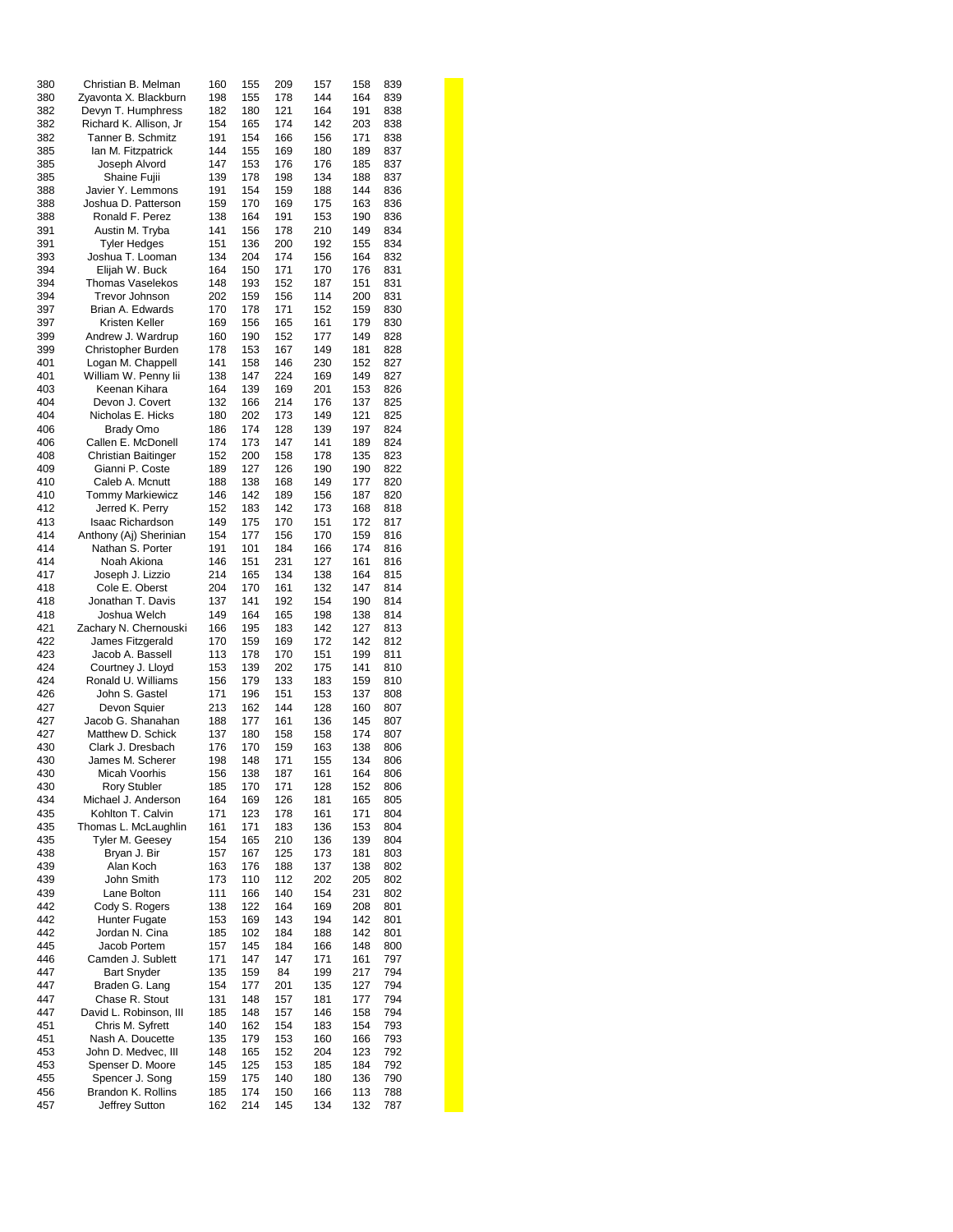| 380 | Christian B. Melman        | 160 | 155 | 209 | 157 | 158 | 839 |  |
|-----|----------------------------|-----|-----|-----|-----|-----|-----|--|
| 380 | Zyavonta X. Blackburn      | 198 | 155 | 178 | 144 | 164 | 839 |  |
| 382 | Devyn T. Humphress         | 182 | 180 | 121 | 164 | 191 | 838 |  |
|     |                            |     |     |     |     |     |     |  |
| 382 | Richard K. Allison, Jr.    | 154 | 165 | 174 | 142 | 203 | 838 |  |
| 382 | Tanner B. Schmitz          | 191 | 154 | 166 | 156 | 171 | 838 |  |
| 385 | lan M. Fitzpatrick         | 144 | 155 | 169 | 180 | 189 | 837 |  |
| 385 | Joseph Alvord              | 147 | 153 | 176 | 176 | 185 | 837 |  |
| 385 | Shaine Fujii               | 139 | 178 | 198 | 134 | 188 | 837 |  |
| 388 | Javier Y. Lemmons          | 191 | 154 | 159 | 188 | 144 | 836 |  |
|     |                            |     |     |     |     |     |     |  |
| 388 | Joshua D. Patterson        | 159 | 170 | 169 | 175 | 163 | 836 |  |
| 388 | Ronald F. Perez            | 138 | 164 | 191 | 153 | 190 | 836 |  |
| 391 | Austin M. Tryba            | 141 | 156 | 178 | 210 | 149 | 834 |  |
| 391 | <b>Tyler Hedges</b>        | 151 | 136 | 200 | 192 | 155 | 834 |  |
| 393 | Joshua T. Looman           | 134 | 204 | 174 | 156 | 164 | 832 |  |
| 394 | Elijah W. Buck             | 164 | 150 | 171 | 170 | 176 | 831 |  |
|     |                            |     |     |     |     |     |     |  |
| 394 | Thomas Vaselekos           | 148 | 193 | 152 | 187 | 151 | 831 |  |
| 394 | Trevor Johnson             | 202 | 159 | 156 | 114 | 200 | 831 |  |
| 397 | Brian A. Edwards           | 170 | 178 | 171 | 152 | 159 | 830 |  |
| 397 | Kristen Keller             | 169 | 156 | 165 | 161 | 179 | 830 |  |
| 399 | Andrew J. Wardrup          | 160 | 190 | 152 | 177 | 149 | 828 |  |
| 399 | Christopher Burden         | 178 | 153 | 167 | 149 | 181 | 828 |  |
|     |                            |     |     |     |     |     |     |  |
| 401 | Logan M. Chappell          | 141 | 158 | 146 | 230 | 152 | 827 |  |
| 401 | William W. Penny lii       | 138 | 147 | 224 | 169 | 149 | 827 |  |
| 403 | Keenan Kihara              | 164 | 139 | 169 | 201 | 153 | 826 |  |
| 404 | Devon J. Covert            | 132 | 166 | 214 | 176 | 137 | 825 |  |
| 404 | Nicholas E. Hicks          | 180 | 202 | 173 | 149 | 121 | 825 |  |
| 406 | <b>Brady Omo</b>           | 186 | 174 | 128 | 139 | 197 | 824 |  |
|     |                            |     |     |     |     |     |     |  |
| 406 | Callen E. McDonell         | 174 | 173 | 147 | 141 | 189 | 824 |  |
| 408 | <b>Christian Baitinger</b> | 152 | 200 | 158 | 178 | 135 | 823 |  |
| 409 | Gianni P. Coste            | 189 | 127 | 126 | 190 | 190 | 822 |  |
| 410 | Caleb A. Mcnutt            | 188 | 138 | 168 | 149 | 177 | 820 |  |
| 410 | <b>Tommy Markiewicz</b>    | 146 | 142 | 189 | 156 | 187 | 820 |  |
|     |                            |     |     |     |     |     | 818 |  |
| 412 | Jerred K. Perry            | 152 | 183 | 142 | 173 | 168 |     |  |
| 413 | <b>Isaac Richardson</b>    | 149 | 175 | 170 | 151 | 172 | 817 |  |
| 414 | Anthony (Aj) Sherinian     | 154 | 177 | 156 | 170 | 159 | 816 |  |
| 414 | Nathan S. Porter           | 191 | 101 | 184 | 166 | 174 | 816 |  |
| 414 | Noah Akiona                | 146 | 151 | 231 | 127 | 161 | 816 |  |
| 417 | Joseph J. Lizzio           | 214 | 165 | 134 | 138 | 164 | 815 |  |
| 418 |                            | 204 |     | 161 |     | 147 | 814 |  |
|     | Cole E. Oberst             |     | 170 |     | 132 |     |     |  |
| 418 | Jonathan T. Davis          | 137 | 141 | 192 | 154 | 190 | 814 |  |
| 418 | Joshua Welch               | 149 | 164 | 165 | 198 | 138 | 814 |  |
| 421 | Zachary N. Chernouski      | 166 | 195 | 183 | 142 | 127 | 813 |  |
| 422 | James Fitzgerald           | 170 | 159 | 169 | 172 | 142 | 812 |  |
| 423 | Jacob A. Bassell           | 113 | 178 | 170 | 151 | 199 | 811 |  |
| 424 |                            |     |     |     |     | 141 |     |  |
|     | Courtney J. Lloyd          | 153 | 139 | 202 | 175 |     | 810 |  |
| 424 | Ronald U. Williams         | 156 | 179 | 133 | 183 | 159 | 810 |  |
| 426 | John S. Gastel             | 171 | 196 | 151 | 153 | 137 | 808 |  |
| 427 | Devon Squier               | 213 | 162 | 144 | 128 | 160 | 807 |  |
| 427 | Jacob G. Shanahan          | 188 | 177 | 161 | 136 | 145 | 807 |  |
| 427 | Matthew D. Schick          | 137 | 180 | 158 | 158 | 174 | 807 |  |
|     | Clark J. Dresbach          |     |     |     |     | 138 |     |  |
| 430 |                            | 176 | 170 | 159 | 163 |     | 806 |  |
| 430 | James M. Scherer           | 198 | 148 | 171 | 155 | 134 | 806 |  |
| 430 | Micah Voorhis              | 156 | 138 | 187 | 161 | 164 | 806 |  |
| 430 | <b>Rory Stubler</b>        | 185 | 170 | 171 | 128 | 152 | 806 |  |
| 434 | Michael J. Anderson        | 164 | 169 | 126 | 181 | 165 | 805 |  |
| 435 | Kohlton T. Calvin          | 171 | 123 | 178 | 161 | 171 | 804 |  |
| 435 | Thomas L. McLaughlin       | 161 | 171 | 183 | 136 | 153 | 804 |  |
|     |                            |     |     |     |     |     |     |  |
| 435 | Tyler M. Geesey            | 154 | 165 | 210 | 136 | 139 | 804 |  |
| 438 | Bryan J. Bir               | 157 | 167 | 125 | 173 | 181 | 803 |  |
| 439 | Alan Koch                  | 163 | 176 | 188 | 137 | 138 | 802 |  |
| 439 | John Smith                 | 173 | 110 | 112 | 202 | 205 | 802 |  |
| 439 | Lane Bolton                | 111 | 166 | 140 | 154 | 231 | 802 |  |
|     |                            |     |     |     |     |     |     |  |
| 442 | Cody S. Rogers             | 138 | 122 | 164 | 169 | 208 | 801 |  |
| 442 | <b>Hunter Fugate</b>       | 153 | 169 | 143 | 194 | 142 | 801 |  |
| 442 | Jordan N. Cina             | 185 | 102 | 184 | 188 | 142 | 801 |  |
| 445 | Jacob Portem               | 157 | 145 | 184 | 166 | 148 | 800 |  |
| 446 | Camden J. Sublett          | 171 | 147 | 147 | 171 | 161 | 797 |  |
| 447 |                            |     |     |     |     |     |     |  |
|     | <b>Bart Snyder</b>         | 135 | 159 | 84  | 199 | 217 | 794 |  |
| 447 | Braden G. Lang             | 154 | 177 | 201 | 135 | 127 | 794 |  |
| 447 | Chase R. Stout             | 131 | 148 | 157 | 181 | 177 | 794 |  |
| 447 | David L. Robinson, III     | 185 | 148 | 157 | 146 | 158 | 794 |  |
| 451 | Chris M. Syfrett           | 140 | 162 | 154 | 183 | 154 | 793 |  |
| 451 | Nash A. Doucette           | 135 | 179 | 153 | 160 | 166 | 793 |  |
|     |                            |     |     |     |     |     |     |  |
| 453 | John D. Medvec, III        | 148 | 165 | 152 | 204 | 123 | 792 |  |
| 453 | Spenser D. Moore           | 145 | 125 | 153 | 185 | 184 | 792 |  |
| 455 | Spencer J. Song            | 159 | 175 | 140 | 180 | 136 | 790 |  |
| 456 | Brandon K. Rollins         | 185 | 174 | 150 | 166 | 113 | 788 |  |
| 457 | Jeffrey Sutton             | 162 | 214 | 145 | 134 | 132 | 787 |  |
|     |                            |     |     |     |     |     |     |  |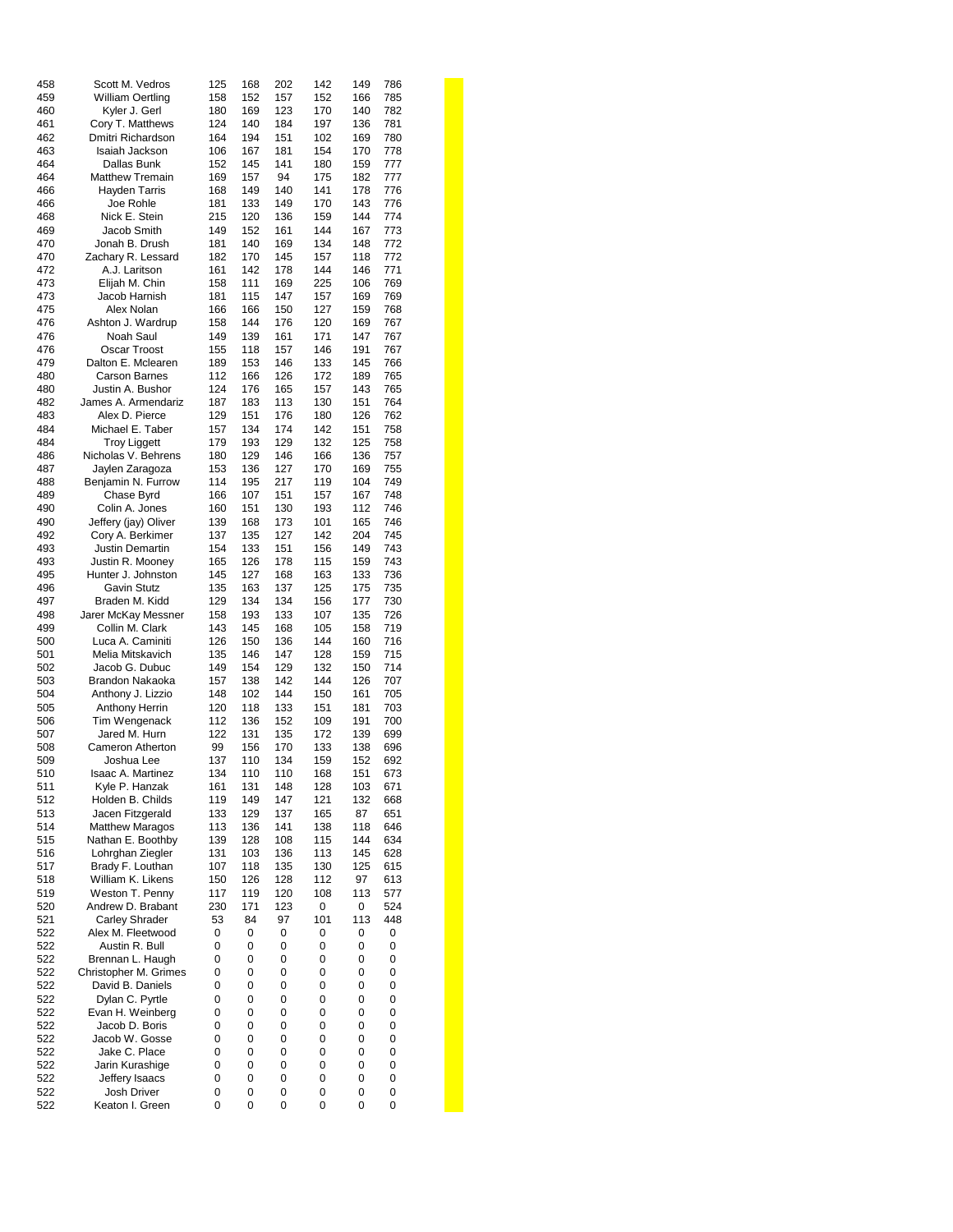| 458 | Scott M. Vedros         | 125 | 168 | 202 | 142 | 149<br>786 |  |
|-----|-------------------------|-----|-----|-----|-----|------------|--|
| 459 | <b>William Oertling</b> | 158 | 152 | 157 | 152 | 166<br>785 |  |
| 460 | Kyler J. Gerl           | 180 | 169 | 123 | 170 | 140<br>782 |  |
| 461 | Cory T. Matthews        | 124 | 140 | 184 | 197 | 136<br>781 |  |
|     |                         |     |     |     |     |            |  |
| 462 | Dmitri Richardson       | 164 | 194 | 151 | 102 | 780<br>169 |  |
| 463 | Isaiah Jackson          | 106 | 167 | 181 | 154 | 170<br>778 |  |
| 464 | Dallas Bunk             | 152 | 145 | 141 | 180 | 159<br>777 |  |
| 464 | <b>Matthew Tremain</b>  | 169 | 157 | 94  | 175 | 777<br>182 |  |
| 466 | <b>Hayden Tarris</b>    | 168 | 149 | 140 | 141 | 178<br>776 |  |
|     |                         |     |     |     |     |            |  |
| 466 | Joe Rohle               | 181 | 133 | 149 | 170 | 143<br>776 |  |
| 468 | Nick E. Stein           | 215 | 120 | 136 | 159 | 144<br>774 |  |
| 469 | Jacob Smith             | 149 | 152 | 161 | 144 | 167<br>773 |  |
| 470 | Jonah B. Drush          | 181 | 140 | 169 | 134 | 148<br>772 |  |
| 470 | Zachary R. Lessard      | 182 | 170 | 145 | 157 | 772<br>118 |  |
| 472 | A.J. Laritson           | 161 | 142 | 178 | 144 | 771<br>146 |  |
| 473 |                         | 158 | 111 | 169 | 225 | 769<br>106 |  |
|     | Elijah M. Chin          |     |     |     |     |            |  |
| 473 | Jacob Harnish           | 181 | 115 | 147 | 157 | 769<br>169 |  |
| 475 | Alex Nolan              | 166 | 166 | 150 | 127 | 159<br>768 |  |
| 476 | Ashton J. Wardrup       | 158 | 144 | 176 | 120 | 169<br>767 |  |
| 476 | Noah Saul               | 149 | 139 | 161 | 171 | 767<br>147 |  |
| 476 | Oscar Troost            | 155 | 118 | 157 | 146 | 767<br>191 |  |
|     |                         |     |     |     |     |            |  |
| 479 | Dalton E. Mclearen      | 189 | 153 | 146 | 133 | 145<br>766 |  |
| 480 | <b>Carson Barnes</b>    | 112 | 166 | 126 | 172 | 189<br>765 |  |
| 480 | Justin A. Bushor        | 124 | 176 | 165 | 157 | 143<br>765 |  |
| 482 | James A. Armendariz     | 187 | 183 | 113 | 130 | 764<br>151 |  |
| 483 | Alex D. Pierce          | 129 | 151 | 176 | 180 | 126<br>762 |  |
|     |                         |     |     |     |     |            |  |
| 484 | Michael E. Taber        | 157 | 134 | 174 | 142 | 758<br>151 |  |
| 484 | <b>Troy Liggett</b>     | 179 | 193 | 129 | 132 | 125<br>758 |  |
| 486 | Nicholas V. Behrens     | 180 | 129 | 146 | 166 | 136<br>757 |  |
| 487 | Jaylen Zaragoza         | 153 | 136 | 127 | 170 | 755<br>169 |  |
| 488 | Benjamin N. Furrow      | 114 | 195 | 217 | 119 | 749<br>104 |  |
| 489 |                         | 166 |     | 151 |     | 748<br>167 |  |
|     | Chase Byrd              |     | 107 |     | 157 |            |  |
| 490 | Colin A. Jones          | 160 | 151 | 130 | 193 | 746<br>112 |  |
| 490 | Jeffery (jay) Oliver    | 139 | 168 | 173 | 101 | 165<br>746 |  |
| 492 | Cory A. Berkimer        | 137 | 135 | 127 | 142 | 204<br>745 |  |
| 493 | Justin Demartin         | 154 | 133 | 151 | 156 | 149<br>743 |  |
| 493 | Justin R. Mooney        | 165 | 126 | 178 | 115 | 159<br>743 |  |
|     |                         |     |     |     |     |            |  |
| 495 | Hunter J. Johnston      | 145 | 127 | 168 | 163 | 736<br>133 |  |
| 496 | <b>Gavin Stutz</b>      | 135 | 163 | 137 | 125 | 175<br>735 |  |
| 497 | Braden M. Kidd          | 129 | 134 | 134 | 156 | 730<br>177 |  |
| 498 | Jarer McKay Messner     | 158 | 193 | 133 | 107 | 135<br>726 |  |
| 499 | Collin M. Clark         | 143 | 145 | 168 | 105 | 719<br>158 |  |
| 500 | Luca A. Caminiti        | 126 | 150 | 136 | 144 | 160<br>716 |  |
|     |                         |     |     |     |     |            |  |
| 501 | Melia Mitskavich        | 135 | 146 | 147 | 128 | 715<br>159 |  |
| 502 | Jacob G. Dubuc          | 149 | 154 | 129 | 132 | 150<br>714 |  |
| 503 | Brandon Nakaoka         | 157 | 138 | 142 | 144 | 126<br>707 |  |
| 504 | Anthony J. Lizzio       | 148 | 102 | 144 | 150 | 161<br>705 |  |
| 505 | <b>Anthony Herrin</b>   | 120 | 118 | 133 | 151 | 181<br>703 |  |
|     |                         |     |     |     |     |            |  |
| 506 | Tim Wengenack           | 112 | 136 | 152 | 109 | 700<br>191 |  |
| 507 | Jared M. Hurn           | 122 | 131 | 135 | 172 | 139<br>699 |  |
| 508 | Cameron Atherton        | 99  | 156 | 170 | 133 | 138<br>696 |  |
| 509 | Joshua Lee              | 137 | 110 | 134 | 159 | 152<br>692 |  |
| 510 | Isaac A. Martinez       | 134 | 110 | 110 | 168 | 151<br>673 |  |
| 511 | Kyle P. Hanzak          | 161 | 131 | 148 | 128 | 671<br>103 |  |
|     | Holden B. Childs        |     |     |     |     |            |  |
| 512 |                         | 119 | 149 | 147 | 121 | 132<br>668 |  |
| 513 | Jacen Fitzgerald        | 133 | 129 | 137 | 165 | 87<br>651  |  |
| 514 | <b>Matthew Maragos</b>  | 113 | 136 | 141 | 138 | 118<br>646 |  |
| 515 | Nathan E. Boothby       | 139 | 128 | 108 | 115 | 144<br>634 |  |
| 516 | Lohrghan Ziegler        | 131 | 103 | 136 | 113 | 145<br>628 |  |
| 517 | Brady F. Louthan        | 107 | 118 | 135 | 130 | 125<br>615 |  |
|     |                         |     |     |     |     |            |  |
| 518 | William K. Likens       | 150 | 126 | 128 | 112 | 97<br>613  |  |
| 519 | Weston T. Penny         | 117 | 119 | 120 | 108 | 113<br>577 |  |
| 520 | Andrew D. Brabant       | 230 | 171 | 123 | 0   | 0<br>524   |  |
| 521 | <b>Carley Shrader</b>   | 53  | 84  | 97  | 101 | 113<br>448 |  |
| 522 | Alex M. Fleetwood       | 0   | 0   | 0   | 0   | 0<br>0     |  |
|     |                         |     |     |     |     |            |  |
| 522 | Austin R. Bull          | 0   | 0   | 0   | 0   | 0<br>0     |  |
| 522 | Brennan L. Haugh        | 0   | 0   | 0   | 0   | 0<br>0     |  |
| 522 | Christopher M. Grimes   | 0   | 0   | 0   | 0   | 0<br>0     |  |
| 522 | David B. Daniels        | 0   | 0   | 0   | 0   | 0<br>0     |  |
| 522 | Dylan C. Pyrtle         | 0   | 0   | 0   | 0   | 0<br>0     |  |
| 522 | Evan H. Weinberg        | 0   | 0   | 0   | 0   | 0<br>0     |  |
|     |                         |     |     |     |     |            |  |
| 522 | Jacob D. Boris          | 0   | 0   | 0   | 0   | 0<br>0     |  |
| 522 | Jacob W. Gosse          | 0   | 0   | 0   | 0   | 0<br>0     |  |
| 522 | Jake C. Place           | 0   | 0   | 0   | 0   | 0<br>0     |  |
| 522 | Jarin Kurashige         | 0   | 0   | 0   | 0   | 0<br>0     |  |
| 522 | Jeffery Isaacs          | 0   | 0   | 0   | 0   | 0<br>0     |  |
| 522 | Josh Driver             | 0   | 0   | 0   | 0   | 0<br>0     |  |
|     |                         |     |     |     |     |            |  |
| 522 | Keaton I. Green         | 0   | 0   | 0   | 0   | 0<br>0     |  |